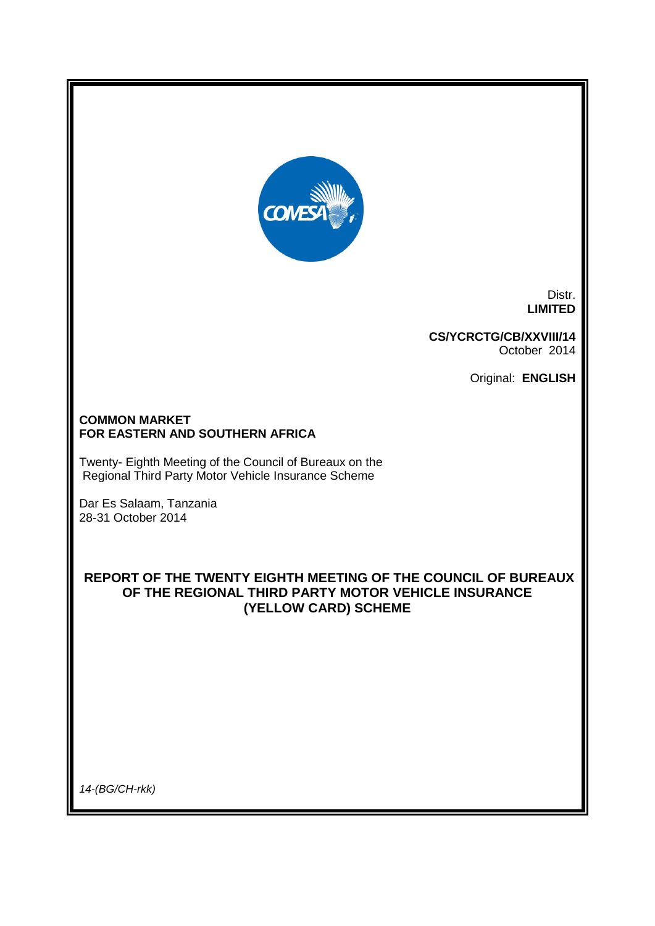

Distr. **LIMITED**

**CS/YCRCTG/CB/XXVIII/14** October 2014

Original: **ENGLISH**

#### **COMMON MARKET FOR EASTERN AND SOUTHERN AFRICA**

Twenty- Eighth Meeting of the Council of Bureaux on the Regional Third Party Motor Vehicle Insurance Scheme

Dar Es Salaam, Tanzania 28-31 October 2014

## **REPORT OF THE TWENTY EIGHTH MEETING OF THE COUNCIL OF BUREAUX OF THE REGIONAL THIRD PARTY MOTOR VEHICLE INSURANCE (YELLOW CARD) SCHEME**

*14-(BG/CH-rkk)*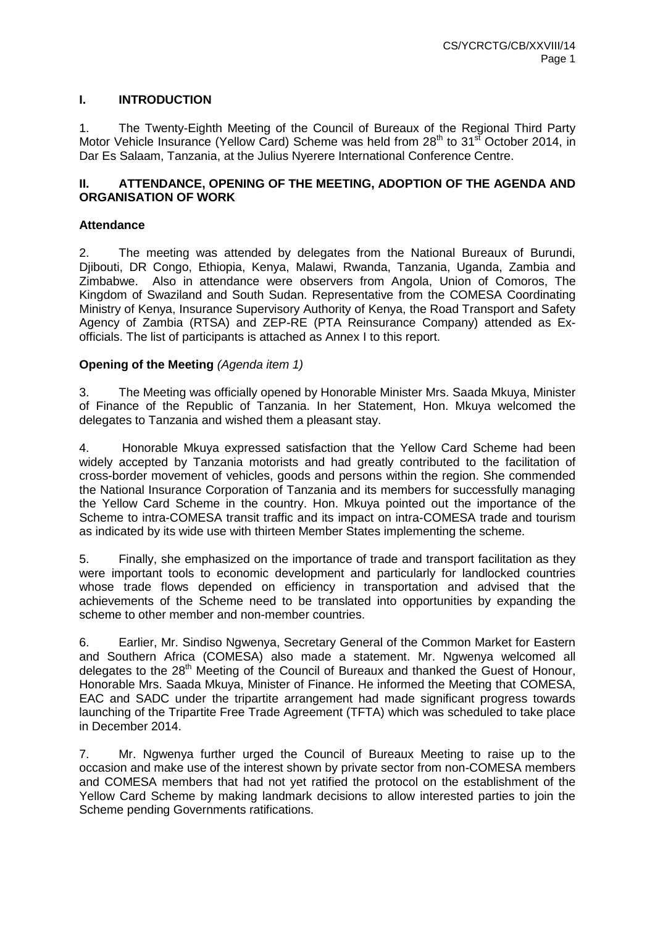## **I. INTRODUCTION**

1. The Twenty-Eighth Meeting of the Council of Bureaux of the Regional Third Party Motor Vehicle Insurance (Yellow Card) Scheme was held from 28<sup>th</sup> to 31<sup>st</sup> October 2014, in Dar Es Salaam, Tanzania, at the Julius Nyerere International Conference Centre.

### **II. ATTENDANCE, OPENING OF THE MEETING, ADOPTION OF THE AGENDA AND ORGANISATION OF WORK**

## **Attendance**

2. The meeting was attended by delegates from the National Bureaux of Burundi, Djibouti, DR Congo, Ethiopia, Kenya, Malawi, Rwanda, Tanzania, Uganda, Zambia and Zimbabwe. Also in attendance were observers from Angola, Union of Comoros, The Kingdom of Swaziland and South Sudan. Representative from the COMESA Coordinating Ministry of Kenya, Insurance Supervisory Authority of Kenya, the Road Transport and Safety Agency of Zambia (RTSA) and ZEP-RE (PTA Reinsurance Company) attended as Exofficials. The list of participants is attached as Annex I to this report.

## **Opening of the Meeting** *(Agenda item 1)*

3. The Meeting was officially opened by Honorable Minister Mrs. Saada Mkuya, Minister of Finance of the Republic of Tanzania. In her Statement, Hon. Mkuya welcomed the delegates to Tanzania and wished them a pleasant stay.

4. Honorable Mkuya expressed satisfaction that the Yellow Card Scheme had been widely accepted by Tanzania motorists and had greatly contributed to the facilitation of cross-border movement of vehicles, goods and persons within the region. She commended the National Insurance Corporation of Tanzania and its members for successfully managing the Yellow Card Scheme in the country. Hon. Mkuya pointed out the importance of the Scheme to intra-COMESA transit traffic and its impact on intra-COMESA trade and tourism as indicated by its wide use with thirteen Member States implementing the scheme.

5. Finally, she emphasized on the importance of trade and transport facilitation as they were important tools to economic development and particularly for landlocked countries whose trade flows depended on efficiency in transportation and advised that the achievements of the Scheme need to be translated into opportunities by expanding the scheme to other member and non-member countries.

6. Earlier, Mr. Sindiso Ngwenya, Secretary General of the Common Market for Eastern and Southern Africa (COMESA) also made a statement. Mr. Ngwenya welcomed all delegates to the  $28<sup>th</sup>$  Meeting of the Council of Bureaux and thanked the Guest of Honour, Honorable Mrs. Saada Mkuya, Minister of Finance. He informed the Meeting that COMESA, EAC and SADC under the tripartite arrangement had made significant progress towards launching of the Tripartite Free Trade Agreement (TFTA) which was scheduled to take place in December 2014.

7. Mr. Ngwenya further urged the Council of Bureaux Meeting to raise up to the occasion and make use of the interest shown by private sector from non-COMESA members and COMESA members that had not yet ratified the protocol on the establishment of the Yellow Card Scheme by making landmark decisions to allow interested parties to join the Scheme pending Governments ratifications.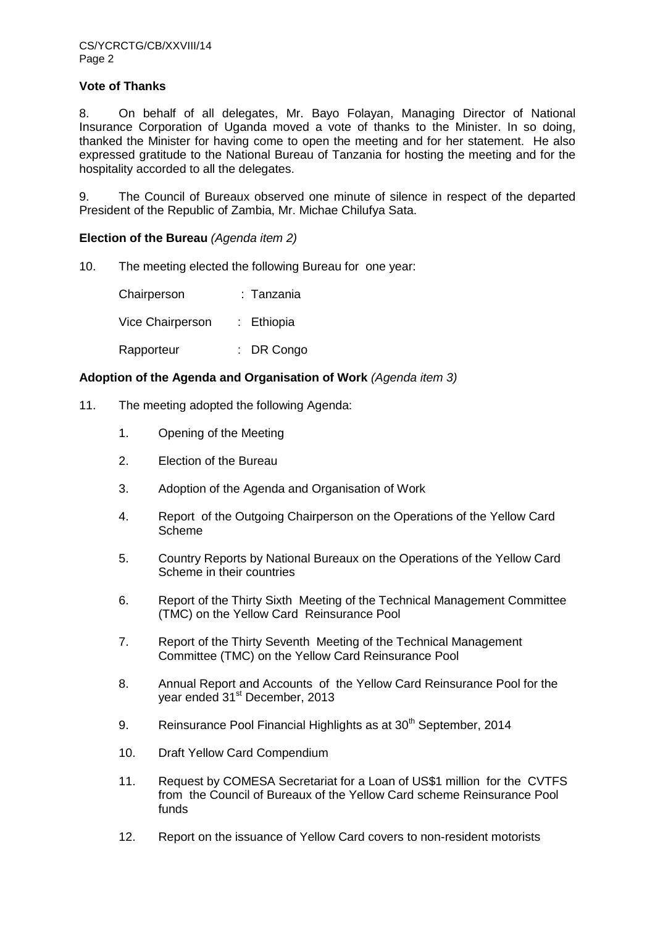### **Vote of Thanks**

8. On behalf of all delegates, Mr. Bayo Folayan, Managing Director of National Insurance Corporation of Uganda moved a vote of thanks to the Minister. In so doing, thanked the Minister for having come to open the meeting and for her statement. He also expressed gratitude to the National Bureau of Tanzania for hosting the meeting and for the hospitality accorded to all the delegates.

9. The Council of Bureaux observed one minute of silence in respect of the departed President of the Republic of Zambia, Mr. Michae Chilufya Sata.

#### **Election of the Bureau** *(Agenda item 2)*

10. The meeting elected the following Bureau for one year:

Chairperson : Tanzania Vice Chairperson : Ethiopia Rapporteur : DR Congo

#### **Adoption of the Agenda and Organisation of Work** *(Agenda item 3)*

- 11. The meeting adopted the following Agenda:
	- 1. Opening of the Meeting
	- 2. Election of the Bureau
	- 3. Adoption of the Agenda and Organisation of Work
	- 4. Report of the Outgoing Chairperson on the Operations of the Yellow Card **Scheme**
	- 5. Country Reports by National Bureaux on the Operations of the Yellow Card Scheme in their countries
	- 6. Report of the Thirty Sixth Meeting of the Technical Management Committee (TMC) on the Yellow Card Reinsurance Pool
	- 7. Report of the Thirty Seventh Meeting of the Technical Management Committee (TMC) on the Yellow Card Reinsurance Pool
	- 8. Annual Report and Accounts of the Yellow Card Reinsurance Pool for the year ended 31<sup>st</sup> December, 2013
	- 9. Reinsurance Pool Financial Highlights as at  $30<sup>th</sup>$  September, 2014
	- 10. Draft Yellow Card Compendium
	- 11. Request by COMESA Secretariat for a Loan of US\$1 million for the CVTFS from the Council of Bureaux of the Yellow Card scheme Reinsurance Pool funds
	- 12. Report on the issuance of Yellow Card covers to non-resident motorists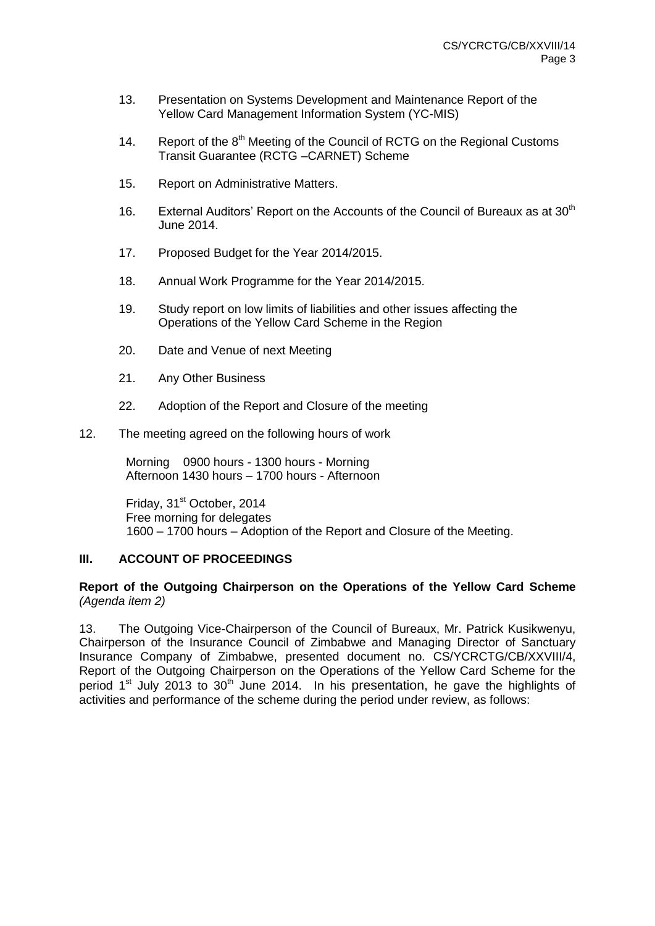- 13. Presentation on Systems Development and Maintenance Report of the Yellow Card Management Information System (YC-MIS)
- 14. Report of the 8<sup>th</sup> Meeting of the Council of RCTG on the Regional Customs Transit Guarantee (RCTG –CARNET) Scheme
- 15. Report on Administrative Matters.
- 16. External Auditors' Report on the Accounts of the Council of Bureaux as at 30<sup>th</sup> June 2014.
- 17. Proposed Budget for the Year 2014/2015.
- 18. Annual Work Programme for the Year 2014/2015.
- 19. Study report on low limits of liabilities and other issues affecting the Operations of the Yellow Card Scheme in the Region
- 20. Date and Venue of next Meeting
- 21. Any Other Business
- 22. Adoption of the Report and Closure of the meeting

#### 12. The meeting agreed on the following hours of work

Morning 0900 hours - 1300 hours - Morning Afternoon 1430 hours – 1700 hours - Afternoon

Fridav, 31<sup>st</sup> October, 2014 Free morning for delegates 1600 – 1700 hours – Adoption of the Report and Closure of the Meeting.

#### **III. ACCOUNT OF PROCEEDINGS**

#### **Report of the Outgoing Chairperson on the Operations of the Yellow Card Scheme**  *(Agenda item 2)*

13. The Outgoing Vice-Chairperson of the Council of Bureaux, Mr. Patrick Kusikwenyu, Chairperson of the Insurance Council of Zimbabwe and Managing Director of Sanctuary Insurance Company of Zimbabwe, presented document no. CS/YCRCTG/CB/XXVIII/4, Report of the Outgoing Chairperson on the Operations of the Yellow Card Scheme for the period  $1<sup>st</sup>$  July 2013 to 30<sup>th</sup> June 2014. In his presentation, he gave the highlights of activities and performance of the scheme during the period under review, as follows: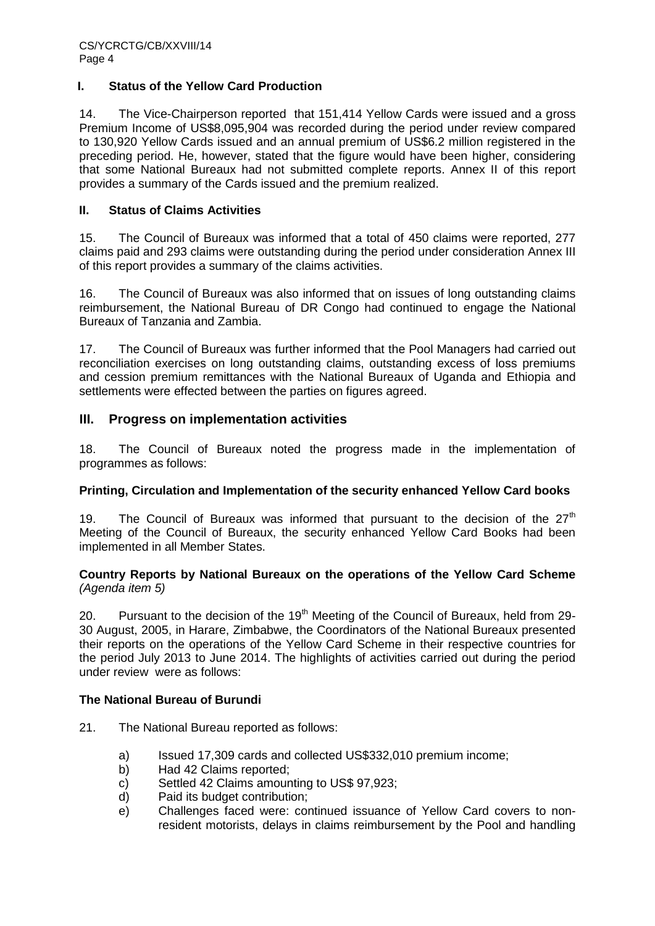## **I. Status of the Yellow Card Production**

14. The Vice-Chairperson reported that 151,414 Yellow Cards were issued and a gross Premium Income of US\$8,095,904 was recorded during the period under review compared to 130,920 Yellow Cards issued and an annual premium of US\$6.2 million registered in the preceding period. He, however, stated that the figure would have been higher, considering that some National Bureaux had not submitted complete reports. Annex II of this report provides a summary of the Cards issued and the premium realized.

### **II. Status of Claims Activities**

15. The Council of Bureaux was informed that a total of 450 claims were reported, 277 claims paid and 293 claims were outstanding during the period under consideration Annex III of this report provides a summary of the claims activities.

16. The Council of Bureaux was also informed that on issues of long outstanding claims reimbursement, the National Bureau of DR Congo had continued to engage the National Bureaux of Tanzania and Zambia.

17. The Council of Bureaux was further informed that the Pool Managers had carried out reconciliation exercises on long outstanding claims, outstanding excess of loss premiums and cession premium remittances with the National Bureaux of Uganda and Ethiopia and settlements were effected between the parties on figures agreed.

## **III. Progress on implementation activities**

18. The Council of Bureaux noted the progress made in the implementation of programmes as follows:

## **Printing, Circulation and Implementation of the security enhanced Yellow Card books**

19. The Council of Bureaux was informed that pursuant to the decision of the  $27<sup>th</sup>$ Meeting of the Council of Bureaux, the security enhanced Yellow Card Books had been implemented in all Member States.

## **Country Reports by National Bureaux on the operations of the Yellow Card Scheme** *(Agenda item 5)*

20. Pursuant to the decision of the  $19<sup>th</sup>$  Meeting of the Council of Bureaux, held from 29-30 August, 2005, in Harare, Zimbabwe, the Coordinators of the National Bureaux presented their reports on the operations of the Yellow Card Scheme in their respective countries for the period July 2013 to June 2014. The highlights of activities carried out during the period under review were as follows:

#### **The National Bureau of Burundi**

21. The National Bureau reported as follows:

- a) Issued 17,309 cards and collected US\$332,010 premium income;
- b) Had 42 Claims reported;
- c) Settled 42 Claims amounting to US\$ 97,923;
- d) Paid its budget contribution;
- e) Challenges faced were: continued issuance of Yellow Card covers to nonresident motorists, delays in claims reimbursement by the Pool and handling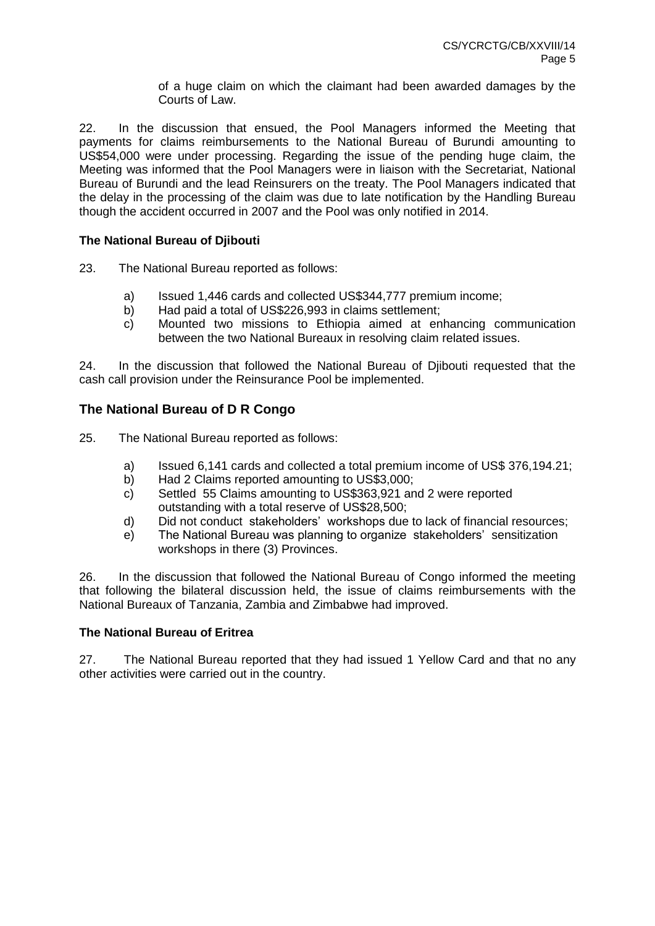of a huge claim on which the claimant had been awarded damages by the Courts of Law.

22. In the discussion that ensued, the Pool Managers informed the Meeting that payments for claims reimbursements to the National Bureau of Burundi amounting to US\$54,000 were under processing. Regarding the issue of the pending huge claim, the Meeting was informed that the Pool Managers were in liaison with the Secretariat, National Bureau of Burundi and the lead Reinsurers on the treaty. The Pool Managers indicated that the delay in the processing of the claim was due to late notification by the Handling Bureau though the accident occurred in 2007 and the Pool was only notified in 2014.

## **The National Bureau of Djibouti**

23. The National Bureau reported as follows:

- a) Issued 1,446 cards and collected US\$344,777 premium income;
- b) Had paid a total of US\$226,993 in claims settlement;
- c) Mounted two missions to Ethiopia aimed at enhancing communication between the two National Bureaux in resolving claim related issues.

24. In the discussion that followed the National Bureau of Djibouti requested that the cash call provision under the Reinsurance Pool be implemented.

## **The National Bureau of D R Congo**

25. The National Bureau reported as follows:

- a) Issued 6,141 cards and collected a total premium income of US\$ 376,194.21;
- b) Had 2 Claims reported amounting to US\$3,000;
- c) Settled 55 Claims amounting to US\$363,921 and 2 were reported outstanding with a total reserve of US\$28,500;
- d) Did not conduct stakeholders' workshops due to lack of financial resources;
- e) The National Bureau was planning to organize stakeholders' sensitization workshops in there (3) Provinces.

26. In the discussion that followed the National Bureau of Congo informed the meeting that following the bilateral discussion held, the issue of claims reimbursements with the National Bureaux of Tanzania, Zambia and Zimbabwe had improved.

## **The National Bureau of Eritrea**

27. The National Bureau reported that they had issued 1 Yellow Card and that no any other activities were carried out in the country.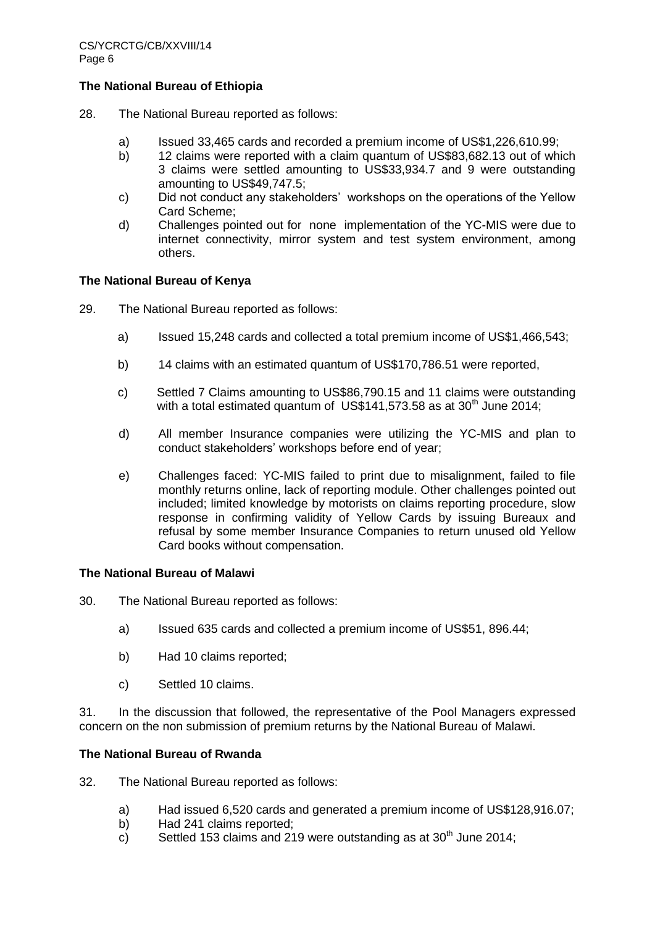#### **The National Bureau of Ethiopia**

- 28. The National Bureau reported as follows:
	- a) Issued 33,465 cards and recorded a premium income of US\$1,226,610.99;
	- b) 12 claims were reported with a claim quantum of US\$83,682.13 out of which 3 claims were settled amounting to US\$33,934.7 and 9 were outstanding amounting to US\$49,747.5;
	- c) Did not conduct any stakeholders' workshops on the operations of the Yellow Card Scheme;
	- d) Challenges pointed out for none implementation of the YC-MIS were due to internet connectivity, mirror system and test system environment, among others.

## **The National Bureau of Kenya**

- 29. The National Bureau reported as follows:
	- a) Issued 15,248 cards and collected a total premium income of US\$1,466,543;
	- b) 14 claims with an estimated quantum of US\$170,786.51 were reported,
	- c) Settled 7 Claims amounting to US\$86,790.15 and 11 claims were outstanding with a total estimated quantum of US\$141,573.58 as at  $30<sup>th</sup>$  June 2014;
	- d) All member Insurance companies were utilizing the YC-MIS and plan to conduct stakeholders' workshops before end of year;
	- e) Challenges faced: YC-MIS failed to print due to misalignment, failed to file monthly returns online, lack of reporting module. Other challenges pointed out included; limited knowledge by motorists on claims reporting procedure, slow response in confirming validity of Yellow Cards by issuing Bureaux and refusal by some member Insurance Companies to return unused old Yellow Card books without compensation.

#### **The National Bureau of Malawi**

- 30. The National Bureau reported as follows:
	- a) Issued 635 cards and collected a premium income of US\$51, 896.44;
	- b) Had 10 claims reported;
	- c) Settled 10 claims.

31. In the discussion that followed, the representative of the Pool Managers expressed concern on the non submission of premium returns by the National Bureau of Malawi.

#### **The National Bureau of Rwanda**

- 32. The National Bureau reported as follows:
	- a) Had issued 6,520 cards and generated a premium income of US\$128,916.07;
	- b) Had 241 claims reported;
	- c) Settled 153 claims and 219 were outstanding as at  $30<sup>th</sup>$  June 2014;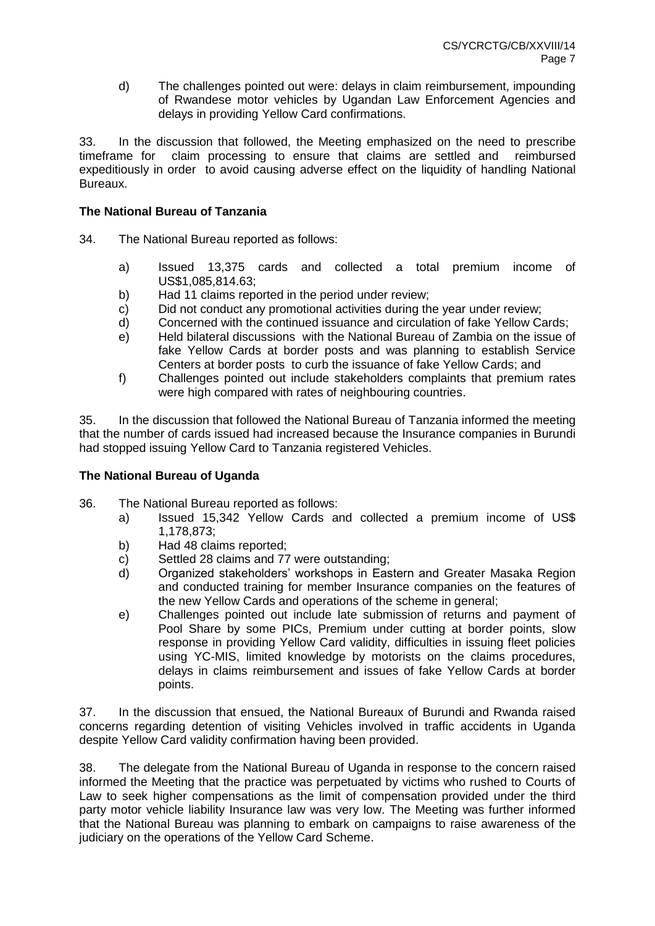d) The challenges pointed out were: delays in claim reimbursement, impounding of Rwandese motor vehicles by Ugandan Law Enforcement Agencies and delays in providing Yellow Card confirmations.

33. In the discussion that followed, the Meeting emphasized on the need to prescribe timeframe for claim processing to ensure that claims are settled and reimbursed expeditiously in order to avoid causing adverse effect on the liquidity of handling National Bureaux.

## **The National Bureau of Tanzania**

- 34. The National Bureau reported as follows:
	- a) Issued 13,375 cards and collected a total premium income of US\$1,085,814.63;
	- b) Had 11 claims reported in the period under review;
	- c) Did not conduct any promotional activities during the year under review;
	- d) Concerned with the continued issuance and circulation of fake Yellow Cards;
	- e) Held bilateral discussions with the National Bureau of Zambia on the issue of fake Yellow Cards at border posts and was planning to establish Service Centers at border posts to curb the issuance of fake Yellow Cards; and
	- f) Challenges pointed out include stakeholders complaints that premium rates were high compared with rates of neighbouring countries.

35. In the discussion that followed the National Bureau of Tanzania informed the meeting that the number of cards issued had increased because the Insurance companies in Burundi had stopped issuing Yellow Card to Tanzania registered Vehicles.

## **The National Bureau of Uganda**

- 36. The National Bureau reported as follows:
	- a) Issued 15,342 Yellow Cards and collected a premium income of US\$ 1,178,873;
	- b) Had 48 claims reported;
	- c) Settled 28 claims and 77 were outstanding;
	- d) Organized stakeholders' workshops in Eastern and Greater Masaka Region and conducted training for member Insurance companies on the features of the new Yellow Cards and operations of the scheme in general;
	- e) Challenges pointed out include late submission of returns and payment of Pool Share by some PICs, Premium under cutting at border points, slow response in providing Yellow Card validity, difficulties in issuing fleet policies using YC-MIS, limited knowledge by motorists on the claims procedures, delays in claims reimbursement and issues of fake Yellow Cards at border points.

37. In the discussion that ensued, the National Bureaux of Burundi and Rwanda raised concerns regarding detention of visiting Vehicles involved in traffic accidents in Uganda despite Yellow Card validity confirmation having been provided.

38. The delegate from the National Bureau of Uganda in response to the concern raised informed the Meeting that the practice was perpetuated by victims who rushed to Courts of Law to seek higher compensations as the limit of compensation provided under the third party motor vehicle liability Insurance law was very low. The Meeting was further informed that the National Bureau was planning to embark on campaigns to raise awareness of the judiciary on the operations of the Yellow Card Scheme.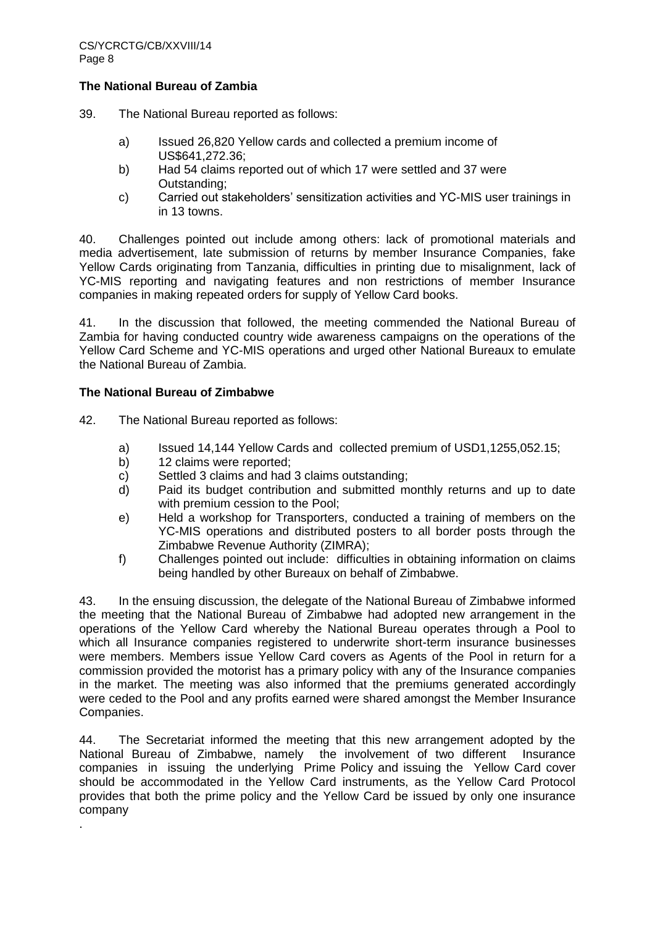### **The National Bureau of Zambia**

39. The National Bureau reported as follows:

- a) Issued 26,820 Yellow cards and collected a premium income of US\$641,272.36;
- b) Had 54 claims reported out of which 17 were settled and 37 were Outstanding;
- c) Carried out stakeholders' sensitization activities and YC-MIS user trainings in in 13 towns.

40. Challenges pointed out include among others: lack of promotional materials and media advertisement, late submission of returns by member Insurance Companies, fake Yellow Cards originating from Tanzania, difficulties in printing due to misalignment, lack of YC-MIS reporting and navigating features and non restrictions of member Insurance companies in making repeated orders for supply of Yellow Card books.

41. In the discussion that followed, the meeting commended the National Bureau of Zambia for having conducted country wide awareness campaigns on the operations of the Yellow Card Scheme and YC-MIS operations and urged other National Bureaux to emulate the National Bureau of Zambia.

#### **The National Bureau of Zimbabwe**

.

42. The National Bureau reported as follows:

- a) Issued 14,144 Yellow Cards and collected premium of USD1,1255,052.15;
- b) 12 claims were reported;
- c) Settled 3 claims and had 3 claims outstanding;
- d) Paid its budget contribution and submitted monthly returns and up to date with premium cession to the Pool:
- e) Held a workshop for Transporters, conducted a training of members on the YC-MIS operations and distributed posters to all border posts through the Zimbabwe Revenue Authority (ZIMRA);
- f) Challenges pointed out include: difficulties in obtaining information on claims being handled by other Bureaux on behalf of Zimbabwe.

43. In the ensuing discussion, the delegate of the National Bureau of Zimbabwe informed the meeting that the National Bureau of Zimbabwe had adopted new arrangement in the operations of the Yellow Card whereby the National Bureau operates through a Pool to which all Insurance companies registered to underwrite short-term insurance businesses were members. Members issue Yellow Card covers as Agents of the Pool in return for a commission provided the motorist has a primary policy with any of the Insurance companies in the market. The meeting was also informed that the premiums generated accordingly were ceded to the Pool and any profits earned were shared amongst the Member Insurance Companies.

44. The Secretariat informed the meeting that this new arrangement adopted by the National Bureau of Zimbabwe, namely the involvement of two different Insurance companies in issuing the underlying Prime Policy and issuing the Yellow Card cover should be accommodated in the Yellow Card instruments, as the Yellow Card Protocol provides that both the prime policy and the Yellow Card be issued by only one insurance company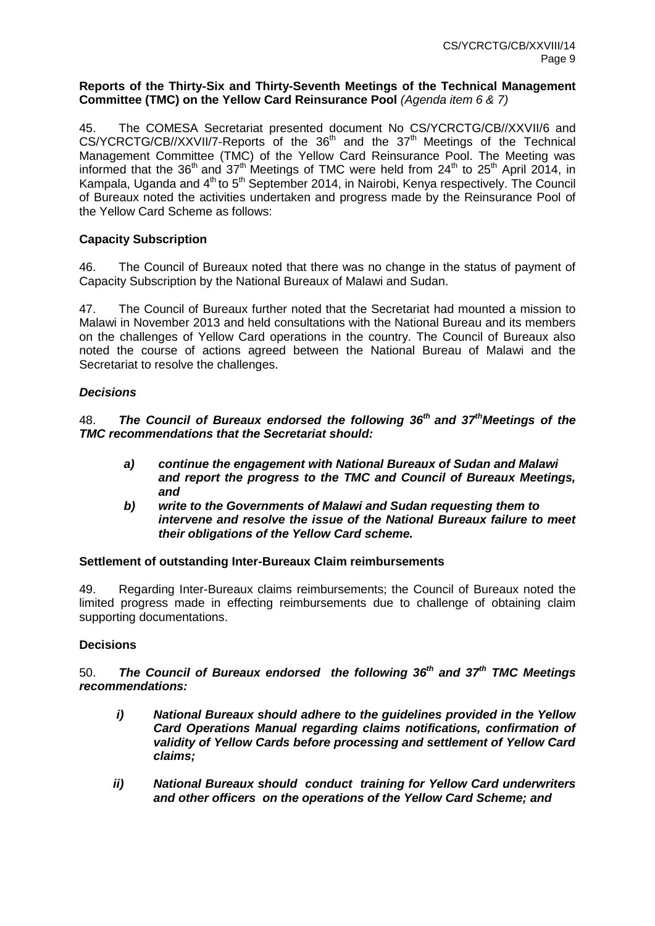#### **Reports of the Thirty-Six and Thirty-Seventh Meetings of the Technical Management Committee (TMC) on the Yellow Card Reinsurance Pool** *(Agenda item 6 & 7)*

45. The COMESA Secretariat presented document No CS/YCRCTG/CB//XXVII/6 and  $CS/YCRCTG/CB//XXVII/7-Reports$  of the  $36<sup>th</sup>$  and the  $37<sup>th</sup>$  Meetings of the Technical Management Committee (TMC) of the Yellow Card Reinsurance Pool. The Meeting was informed that the 36<sup>th</sup> and 37<sup>th</sup> Meetings of TMC were held from 24<sup>th</sup> to 25<sup>th</sup> April 2014, in Kampala, Uganda and 4<sup>th</sup> to 5<sup>th</sup> September 2014, in Nairobi, Kenya respectively. The Council of Bureaux noted the activities undertaken and progress made by the Reinsurance Pool of the Yellow Card Scheme as follows:

## **Capacity Subscription**

46. The Council of Bureaux noted that there was no change in the status of payment of Capacity Subscription by the National Bureaux of Malawi and Sudan.

47. The Council of Bureaux further noted that the Secretariat had mounted a mission to Malawi in November 2013 and held consultations with the National Bureau and its members on the challenges of Yellow Card operations in the country. The Council of Bureaux also noted the course of actions agreed between the National Bureau of Malawi and the Secretariat to resolve the challenges.

## *Decisions*

48. *The Council of Bureaux endorsed the following 36 th and 37 thMeetings of the TMC recommendations that the Secretariat should:*

- *a) continue the engagement with National Bureaux of Sudan and Malawi and report the progress to the TMC and Council of Bureaux Meetings, and*
- *b) write to the Governments of Malawi and Sudan requesting them to intervene and resolve the issue of the National Bureaux failure to meet their obligations of the Yellow Card scheme.*

## **Settlement of outstanding Inter-Bureaux Claim reimbursements**

49. Regarding Inter-Bureaux claims reimbursements; the Council of Bureaux noted the limited progress made in effecting reimbursements due to challenge of obtaining claim supporting documentations.

## **Decisions**

50. *The Council of Bureaux endorsed the following 36th and 37th TMC Meetings recommendations:*

- *i) National Bureaux should adhere to the guidelines provided in the Yellow Card Operations Manual regarding claims notifications, confirmation of validity of Yellow Cards before processing and settlement of Yellow Card claims;*
- *ii) National Bureaux should conduct training for Yellow Card underwriters and other officers on the operations of the Yellow Card Scheme; and*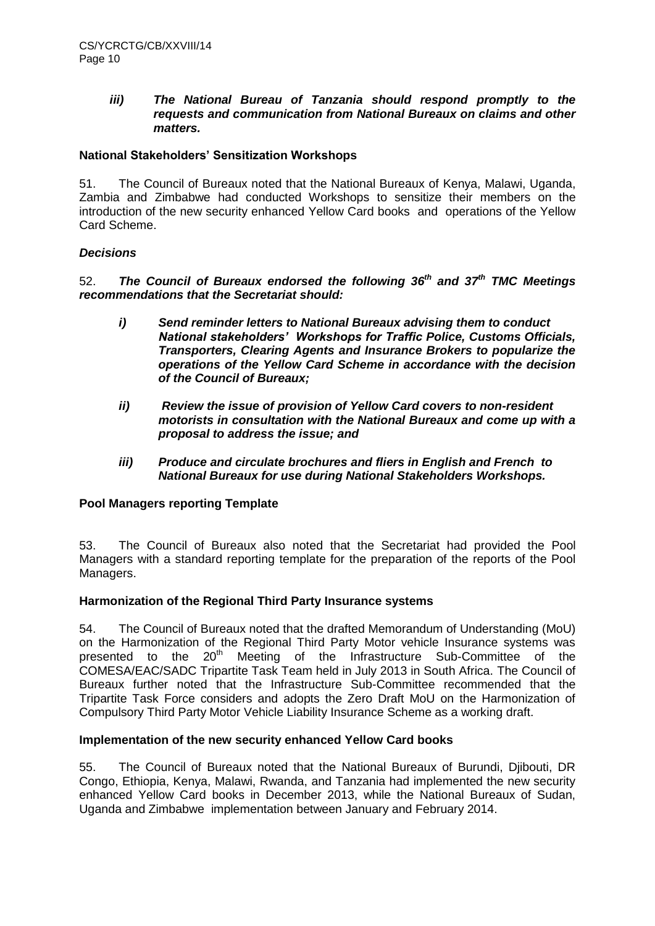## *iii) The National Bureau of Tanzania should respond promptly to the requests and communication from National Bureaux on claims and other matters.*

## **National Stakeholders' Sensitization Workshops**

51. The Council of Bureaux noted that the National Bureaux of Kenya, Malawi, Uganda, Zambia and Zimbabwe had conducted Workshops to sensitize their members on the introduction of the new security enhanced Yellow Card books and operations of the Yellow Card Scheme.

## *Decisions*

52. *The Council of Bureaux endorsed the following 36th and 37th TMC Meetings recommendations that the Secretariat should:*

- *i) Send reminder letters to National Bureaux advising them to conduct National stakeholders' Workshops for Traffic Police, Customs Officials, Transporters, Clearing Agents and Insurance Brokers to popularize the operations of the Yellow Card Scheme in accordance with the decision of the Council of Bureaux;*
- *ii) Review the issue of provision of Yellow Card covers to non-resident motorists in consultation with the National Bureaux and come up with a proposal to address the issue; and*
- *iii) Produce and circulate brochures and fliers in English and French to National Bureaux for use during National Stakeholders Workshops.*

## **Pool Managers reporting Template**

53. The Council of Bureaux also noted that the Secretariat had provided the Pool Managers with a standard reporting template for the preparation of the reports of the Pool Managers.

## **Harmonization of the Regional Third Party Insurance systems**

54. The Council of Bureaux noted that the drafted Memorandum of Understanding (MoU) on the Harmonization of the Regional Third Party Motor vehicle Insurance systems was presented to the 20<sup>th</sup> Meeting of the Infrastructure Sub-Committee of the COMESA/EAC/SADC Tripartite Task Team held in July 2013 in South Africa. The Council of Bureaux further noted that the Infrastructure Sub-Committee recommended that the Tripartite Task Force considers and adopts the Zero Draft MoU on the Harmonization of Compulsory Third Party Motor Vehicle Liability Insurance Scheme as a working draft.

## **Implementation of the new security enhanced Yellow Card books**

55. The Council of Bureaux noted that the National Bureaux of Burundi, Djibouti, DR Congo, Ethiopia, Kenya, Malawi, Rwanda, and Tanzania had implemented the new security enhanced Yellow Card books in December 2013, while the National Bureaux of Sudan, Uganda and Zimbabwe implementation between January and February 2014.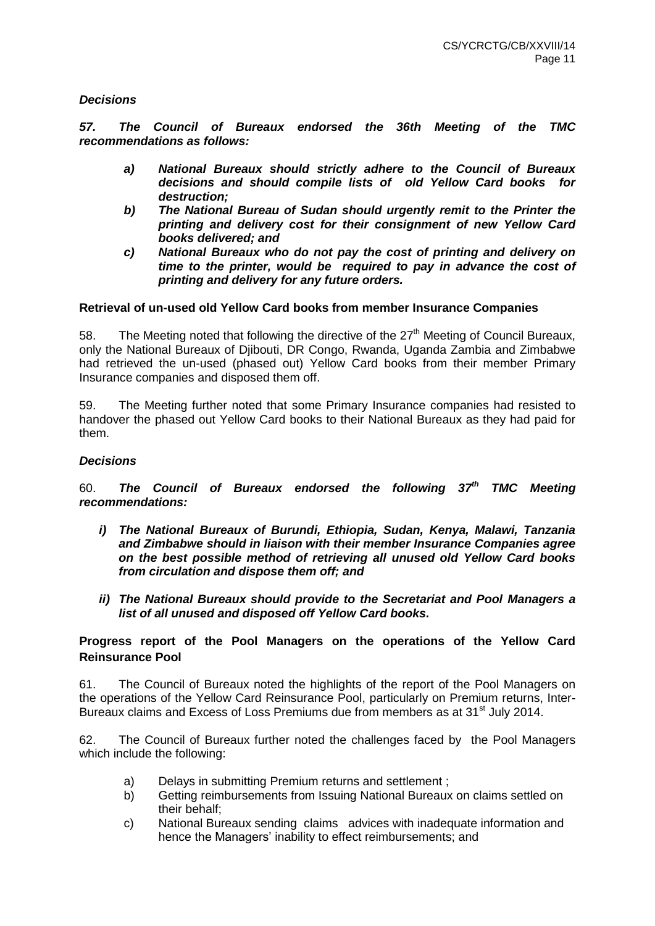## *Decisions*

*57. The Council of Bureaux endorsed the 36th Meeting of the TMC recommendations as follows:*

- *a) National Bureaux should strictly adhere to the Council of Bureaux decisions and should compile lists of old Yellow Card books for destruction;*
- *b) The National Bureau of Sudan should urgently remit to the Printer the printing and delivery cost for their consignment of new Yellow Card books delivered; and*
- *c) National Bureaux who do not pay the cost of printing and delivery on time to the printer, would be required to pay in advance the cost of printing and delivery for any future orders.*

#### **Retrieval of un-used old Yellow Card books from member Insurance Companies**

58. The Meeting noted that following the directive of the  $27<sup>th</sup>$  Meeting of Council Bureaux, only the National Bureaux of Djibouti, DR Congo, Rwanda, Uganda Zambia and Zimbabwe had retrieved the un-used (phased out) Yellow Card books from their member Primary Insurance companies and disposed them off.

59. The Meeting further noted that some Primary Insurance companies had resisted to handover the phased out Yellow Card books to their National Bureaux as they had paid for them.

#### *Decisions*

60. *The Council of Bureaux endorsed the following 37th TMC Meeting recommendations:*

- *i) The National Bureaux of Burundi, Ethiopia, Sudan, Kenya, Malawi, Tanzania and Zimbabwe should in liaison with their member Insurance Companies agree on the best possible method of retrieving all unused old Yellow Card books from circulation and dispose them off; and*
- *ii) The National Bureaux should provide to the Secretariat and Pool Managers a list of all unused and disposed off Yellow Card books.*

#### **Progress report of the Pool Managers on the operations of the Yellow Card Reinsurance Pool**

61. The Council of Bureaux noted the highlights of the report of the Pool Managers on the operations of the Yellow Card Reinsurance Pool, particularly on Premium returns, Inter-Bureaux claims and Excess of Loss Premiums due from members as at 31<sup>st</sup> July 2014.

62. The Council of Bureaux further noted the challenges faced by the Pool Managers which include the following:

- a) Delays in submitting Premium returns and settlement ;
- b) Getting reimbursements from Issuing National Bureaux on claims settled on their behalf;
- c) National Bureaux sending claims advices with inadequate information and hence the Managers' inability to effect reimbursements; and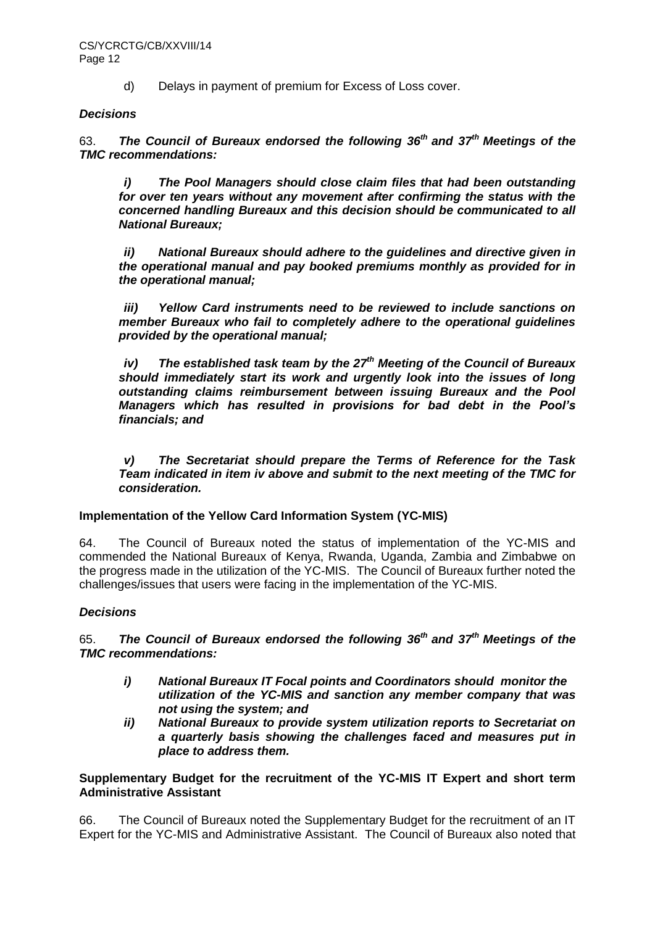d) Delays in payment of premium for Excess of Loss cover.

## *Decisions*

63. *The Council of Bureaux endorsed the following 36th and 37th Meetings of the TMC recommendations:*

*i) The Pool Managers should close claim files that had been outstanding for over ten years without any movement after confirming the status with the concerned handling Bureaux and this decision should be communicated to all National Bureaux;*

*ii) National Bureaux should adhere to the guidelines and directive given in the operational manual and pay booked premiums monthly as provided for in the operational manual;*

*iii) Yellow Card instruments need to be reviewed to include sanctions on member Bureaux who fail to completely adhere to the operational guidelines provided by the operational manual;* 

*iv) The established task team by the 27th Meeting of the Council of Bureaux should immediately start its work and urgently look into the issues of long outstanding claims reimbursement between issuing Bureaux and the Pool Managers which has resulted in provisions for bad debt in the Pool's financials; and* 

*v) The Secretariat should prepare the Terms of Reference for the Task Team indicated in item iv above and submit to the next meeting of the TMC for consideration.*

## **Implementation of the Yellow Card Information System (YC-MIS)**

64. The Council of Bureaux noted the status of implementation of the YC-MIS and commended the National Bureaux of Kenya, Rwanda, Uganda, Zambia and Zimbabwe on the progress made in the utilization of the YC-MIS. The Council of Bureaux further noted the challenges/issues that users were facing in the implementation of the YC-MIS.

## *Decisions*

65. *The Council of Bureaux endorsed the following 36th and 37th Meetings of the TMC recommendations:*

- *i) National Bureaux IT Focal points and Coordinators should monitor the utilization of the YC-MIS and sanction any member company that was not using the system; and*
- *ii) National Bureaux to provide system utilization reports to Secretariat on a quarterly basis showing the challenges faced and measures put in place to address them.*

**Supplementary Budget for the recruitment of the YC-MIS IT Expert and short term Administrative Assistant**

66. The Council of Bureaux noted the Supplementary Budget for the recruitment of an IT Expert for the YC-MIS and Administrative Assistant. The Council of Bureaux also noted that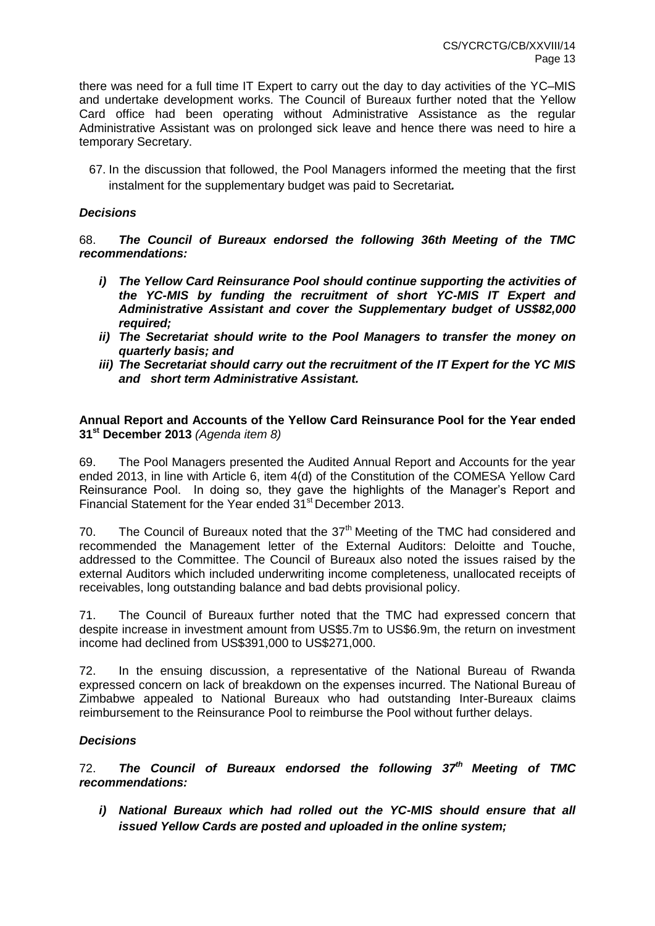there was need for a full time IT Expert to carry out the day to day activities of the YC–MIS and undertake development works. The Council of Bureaux further noted that the Yellow Card office had been operating without Administrative Assistance as the regular Administrative Assistant was on prolonged sick leave and hence there was need to hire a temporary Secretary.

67. In the discussion that followed, the Pool Managers informed the meeting that the first instalment for the supplementary budget was paid to Secretariat*.*

### *Decisions*

## 68. *The Council of Bureaux endorsed the following 36th Meeting of the TMC recommendations:*

- *i) The Yellow Card Reinsurance Pool should continue supporting the activities of the YC-MIS by funding the recruitment of short YC-MIS IT Expert and Administrative Assistant and cover the Supplementary budget of US\$82,000 required;*
- *ii) The Secretariat should write to the Pool Managers to transfer the money on quarterly basis; and*
- *iii) The Secretariat should carry out the recruitment of the IT Expert for the YC MIS and short term Administrative Assistant.*

#### **Annual Report and Accounts of the Yellow Card Reinsurance Pool for the Year ended 31st December 2013** *(Agenda item 8)*

69. The Pool Managers presented the Audited Annual Report and Accounts for the year ended 2013, in line with Article 6, item 4(d) of the Constitution of the COMESA Yellow Card Reinsurance Pool. In doing so, they gave the highlights of the Manager's Report and Financial Statement for the Year ended 31<sup>st</sup> December 2013.

70. The Council of Bureaux noted that the  $37<sup>th</sup>$  Meeting of the TMC had considered and recommended the Management letter of the External Auditors: Deloitte and Touche, addressed to the Committee. The Council of Bureaux also noted the issues raised by the external Auditors which included underwriting income completeness, unallocated receipts of receivables, long outstanding balance and bad debts provisional policy.

71. The Council of Bureaux further noted that the TMC had expressed concern that despite increase in investment amount from US\$5.7m to US\$6.9m, the return on investment income had declined from US\$391,000 to US\$271,000.

72. In the ensuing discussion, a representative of the National Bureau of Rwanda expressed concern on lack of breakdown on the expenses incurred. The National Bureau of Zimbabwe appealed to National Bureaux who had outstanding Inter-Bureaux claims reimbursement to the Reinsurance Pool to reimburse the Pool without further delays.

## *Decisions*

72. *The Council of Bureaux endorsed the following 37th Meeting of TMC recommendations:*

*i) National Bureaux which had rolled out the YC-MIS should ensure that all issued Yellow Cards are posted and uploaded in the online system;*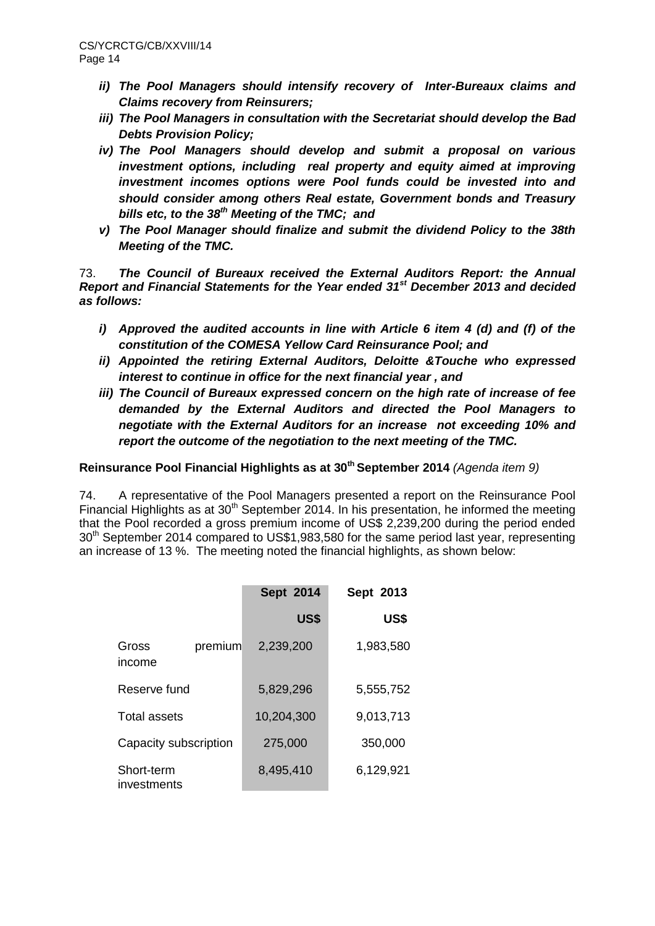- *ii) The Pool Managers should intensify recovery of Inter-Bureaux claims and Claims recovery from Reinsurers;*
- *iii) The Pool Managers in consultation with the Secretariat should develop the Bad Debts Provision Policy;*
- *iv) The Pool Managers should develop and submit a proposal on various investment options, including real property and equity aimed at improving investment incomes options were Pool funds could be invested into and should consider among others Real estate, Government bonds and Treasury bills etc, to the 38th Meeting of the TMC; and*
- *v) The Pool Manager should finalize and submit the dividend Policy to the 38th Meeting of the TMC.*

73. *The Council of Bureaux received the External Auditors Report: the Annual Report and Financial Statements for the Year ended 31st December 2013 and decided as follows:*

- *i) Approved the audited accounts in line with Article 6 item 4 (d) and (f) of the constitution of the COMESA Yellow Card Reinsurance Pool; and*
- *ii) Appointed the retiring External Auditors, Deloitte &Touche who expressed interest to continue in office for the next financial year , and*
- *iii) The Council of Bureaux expressed concern on the high rate of increase of fee demanded by the External Auditors and directed the Pool Managers to negotiate with the External Auditors for an increase not exceeding 10% and report the outcome of the negotiation to the next meeting of the TMC.*

**Reinsurance Pool Financial Highlights as at 30th September 2014** *(Agenda item 9)*

74. A representative of the Pool Managers presented a report on the Reinsurance Pool Financial Highlights as at  $30<sup>th</sup>$  September 2014. In his presentation, he informed the meeting that the Pool recorded a gross premium income of US\$ 2,239,200 during the period ended 30<sup>th</sup> September 2014 compared to US\$1,983,580 for the same period last year, representing an increase of 13 %. The meeting noted the financial highlights, as shown below:

|                           |         | Sept 2014   | Sept 2013 |  |  |  |
|---------------------------|---------|-------------|-----------|--|--|--|
|                           |         | <b>US\$</b> | US\$      |  |  |  |
| Gross<br>income           | premium | 2,239,200   | 1,983,580 |  |  |  |
| Reserve fund              |         | 5,829,296   | 5,555,752 |  |  |  |
| Total assets              |         | 10,204,300  | 9,013,713 |  |  |  |
| Capacity subscription     |         | 275,000     | 350,000   |  |  |  |
| Short-term<br>investments |         | 8,495,410   | 6,129,921 |  |  |  |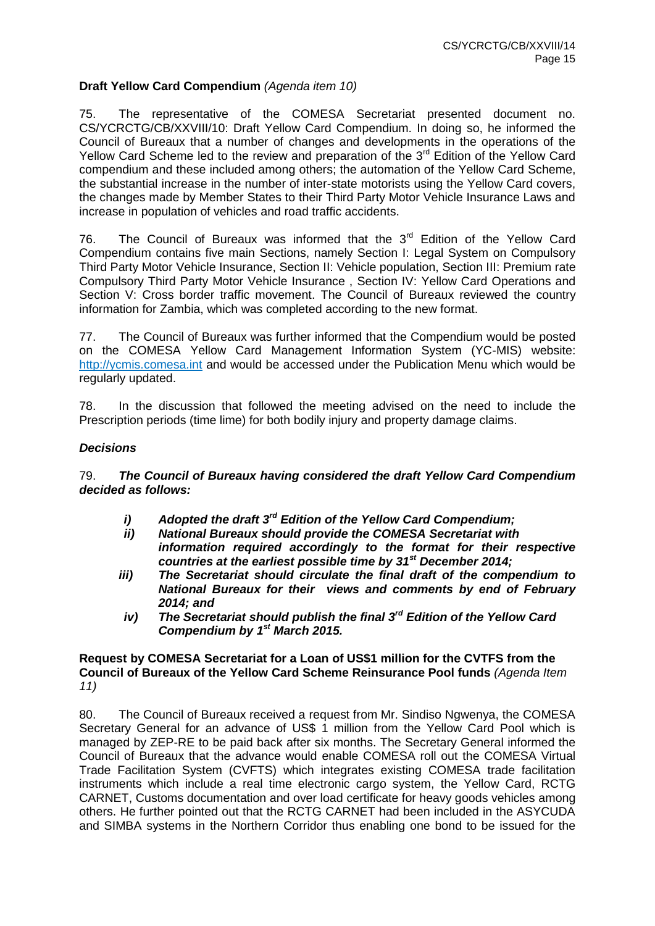### **Draft Yellow Card Compendium** *(Agenda item 10)*

75. The representative of the COMESA Secretariat presented document no. CS/YCRCTG/CB/XXVIII/10: Draft Yellow Card Compendium. In doing so, he informed the Council of Bureaux that a number of changes and developments in the operations of the Yellow Card Scheme led to the review and preparation of the 3<sup>rd</sup> Edition of the Yellow Card compendium and these included among others; the automation of the Yellow Card Scheme, the substantial increase in the number of inter-state motorists using the Yellow Card covers, the changes made by Member States to their Third Party Motor Vehicle Insurance Laws and increase in population of vehicles and road traffic accidents.

76. The Council of Bureaux was informed that the  $3<sup>rd</sup>$  Edition of the Yellow Card Compendium contains five main Sections, namely Section I: Legal System on Compulsory Third Party Motor Vehicle Insurance, Section II: Vehicle population, Section III: Premium rate Compulsory Third Party Motor Vehicle Insurance , Section IV: Yellow Card Operations and Section V: Cross border traffic movement. The Council of Bureaux reviewed the country information for Zambia, which was completed according to the new format.

77. The Council of Bureaux was further informed that the Compendium would be posted on the COMESA Yellow Card Management Information System (YC-MIS) website: [http://ycmis.comesa.int](http://ycmis.comesa.int/) and would be accessed under the Publication Menu which would be regularly updated.

78. In the discussion that followed the meeting advised on the need to include the Prescription periods (time lime) for both bodily injury and property damage claims.

#### *Decisions*

79. *The Council of Bureaux having considered the draft Yellow Card Compendium decided as follows:*

- *i) Adopted the draft 3rd Edition of the Yellow Card Compendium;*
- *ii) National Bureaux should provide the COMESA Secretariat with information required accordingly to the format for their respective countries at the earliest possible time by 31st December 2014;*
- *iii) The Secretariat should circulate the final draft of the compendium to National Bureaux for their views and comments by end of February 2014; and*
- *iv) The Secretariat should publish the final 3rd Edition of the Yellow Card Compendium by 1st March 2015.*

### **Request by COMESA Secretariat for a Loan of US\$1 million for the CVTFS from the Council of Bureaux of the Yellow Card Scheme Reinsurance Pool funds** *(Agenda Item 11)*

80. The Council of Bureaux received a request from Mr. Sindiso Ngwenya, the COMESA Secretary General for an advance of US\$ 1 million from the Yellow Card Pool which is managed by ZEP-RE to be paid back after six months. The Secretary General informed the Council of Bureaux that the advance would enable COMESA roll out the COMESA Virtual Trade Facilitation System (CVFTS) which integrates existing COMESA trade facilitation instruments which include a real time electronic cargo system, the Yellow Card, RCTG CARNET, Customs documentation and over load certificate for heavy goods vehicles among others. He further pointed out that the RCTG CARNET had been included in the ASYCUDA and SIMBA systems in the Northern Corridor thus enabling one bond to be issued for the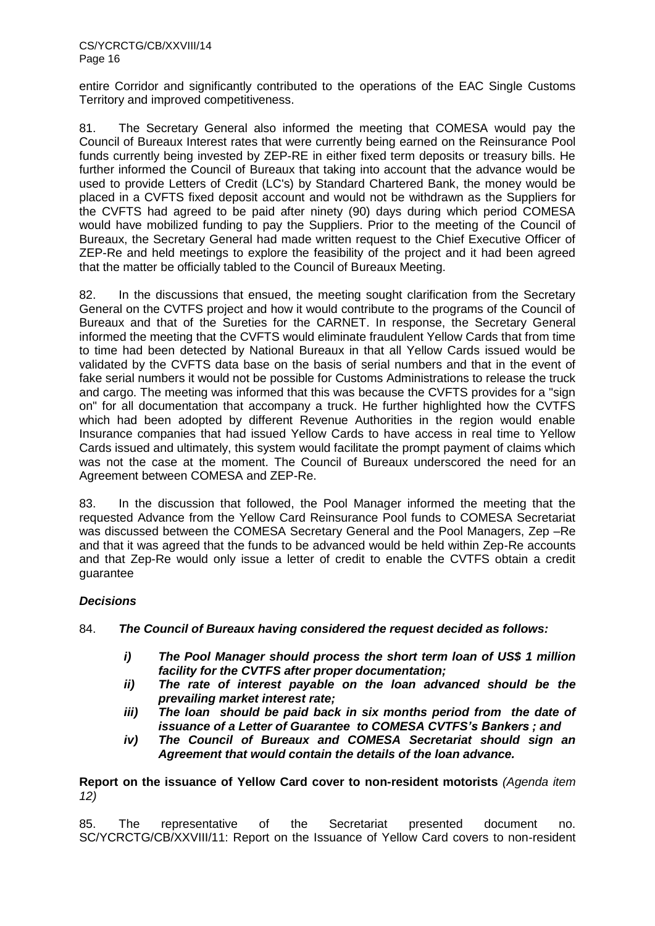entire Corridor and significantly contributed to the operations of the EAC Single Customs Territory and improved competitiveness.

81. The Secretary General also informed the meeting that COMESA would pay the Council of Bureaux Interest rates that were currently being earned on the Reinsurance Pool funds currently being invested by ZEP-RE in either fixed term deposits or treasury bills. He further informed the Council of Bureaux that taking into account that the advance would be used to provide Letters of Credit (LC's) by Standard Chartered Bank, the money would be placed in a CVFTS fixed deposit account and would not be withdrawn as the Suppliers for the CVFTS had agreed to be paid after ninety (90) days during which period COMESA would have mobilized funding to pay the Suppliers. Prior to the meeting of the Council of Bureaux, the Secretary General had made written request to the Chief Executive Officer of ZEP-Re and held meetings to explore the feasibility of the project and it had been agreed that the matter be officially tabled to the Council of Bureaux Meeting.

82. In the discussions that ensued, the meeting sought clarification from the Secretary General on the CVTFS project and how it would contribute to the programs of the Council of Bureaux and that of the Sureties for the CARNET. In response, the Secretary General informed the meeting that the CVFTS would eliminate fraudulent Yellow Cards that from time to time had been detected by National Bureaux in that all Yellow Cards issued would be validated by the CVFTS data base on the basis of serial numbers and that in the event of fake serial numbers it would not be possible for Customs Administrations to release the truck and cargo. The meeting was informed that this was because the CVFTS provides for a "sign on" for all documentation that accompany a truck. He further highlighted how the CVTFS which had been adopted by different Revenue Authorities in the region would enable Insurance companies that had issued Yellow Cards to have access in real time to Yellow Cards issued and ultimately, this system would facilitate the prompt payment of claims which was not the case at the moment. The Council of Bureaux underscored the need for an Agreement between COMESA and ZEP-Re.

83. In the discussion that followed, the Pool Manager informed the meeting that the requested Advance from the Yellow Card Reinsurance Pool funds to COMESA Secretariat was discussed between the COMESA Secretary General and the Pool Managers, Zep –Re and that it was agreed that the funds to be advanced would be held within Zep-Re accounts and that Zep-Re would only issue a letter of credit to enable the CVTFS obtain a credit guarantee

## *Decisions*

84. *The Council of Bureaux having considered the request decided as follows:*

- *i) The Pool Manager should process the short term loan of US\$ 1 million facility for the CVTFS after proper documentation;*
- *ii) The rate of interest payable on the loan advanced should be the prevailing market interest rate;*
- *iii) The loan should be paid back in six months period from the date of issuance of a Letter of Guarantee to COMESA CVTFS's Bankers ; and*
- *iv) The Council of Bureaux and COMESA Secretariat should sign an Agreement that would contain the details of the loan advance.*

**Report on the issuance of Yellow Card cover to non-resident motorists** *(Agenda item 12)*

85. The representative of the Secretariat presented document no. SC/YCRCTG/CB/XXVIII/11: Report on the Issuance of Yellow Card covers to non-resident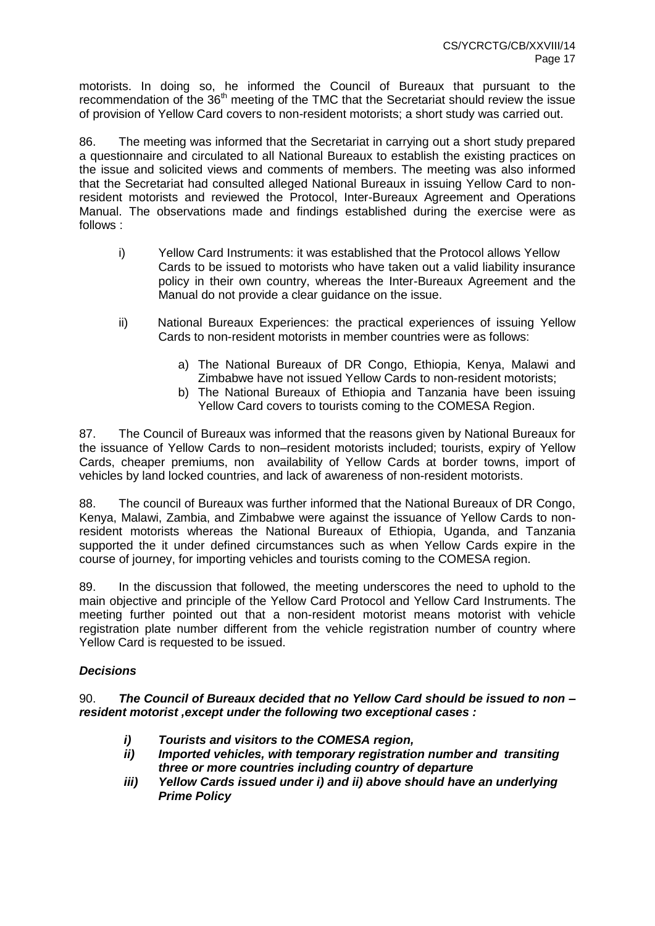motorists. In doing so, he informed the Council of Bureaux that pursuant to the recommendation of the 36<sup>th</sup> meeting of the TMC that the Secretariat should review the issue of provision of Yellow Card covers to non-resident motorists; a short study was carried out.

86. The meeting was informed that the Secretariat in carrying out a short study prepared a questionnaire and circulated to all National Bureaux to establish the existing practices on the issue and solicited views and comments of members. The meeting was also informed that the Secretariat had consulted alleged National Bureaux in issuing Yellow Card to nonresident motorists and reviewed the Protocol, Inter-Bureaux Agreement and Operations Manual. The observations made and findings established during the exercise were as follows :

- i) Yellow Card Instruments: it was established that the Protocol allows Yellow Cards to be issued to motorists who have taken out a valid liability insurance policy in their own country, whereas the Inter-Bureaux Agreement and the Manual do not provide a clear guidance on the issue.
- ii) National Bureaux Experiences: the practical experiences of issuing Yellow Cards to non-resident motorists in member countries were as follows:
	- a) The National Bureaux of DR Congo, Ethiopia, Kenya, Malawi and Zimbabwe have not issued Yellow Cards to non-resident motorists;
	- b) The National Bureaux of Ethiopia and Tanzania have been issuing Yellow Card covers to tourists coming to the COMESA Region.

87. The Council of Bureaux was informed that the reasons given by National Bureaux for the issuance of Yellow Cards to non–resident motorists included; tourists, expiry of Yellow Cards, cheaper premiums, non availability of Yellow Cards at border towns, import of vehicles by land locked countries, and lack of awareness of non-resident motorists.

88. The council of Bureaux was further informed that the National Bureaux of DR Congo, Kenya, Malawi, Zambia, and Zimbabwe were against the issuance of Yellow Cards to nonresident motorists whereas the National Bureaux of Ethiopia, Uganda, and Tanzania supported the it under defined circumstances such as when Yellow Cards expire in the course of journey, for importing vehicles and tourists coming to the COMESA region.

89. In the discussion that followed, the meeting underscores the need to uphold to the main objective and principle of the Yellow Card Protocol and Yellow Card Instruments. The meeting further pointed out that a non-resident motorist means motorist with vehicle registration plate number different from the vehicle registration number of country where Yellow Card is requested to be issued.

## *Decisions*

90. *The Council of Bureaux decided that no Yellow Card should be issued to non – resident motorist ,except under the following two exceptional cases :*

- *i) Tourists and visitors to the COMESA region,*
- *ii) Imported vehicles, with temporary registration number and transiting three or more countries including country of departure*
- *iii) Yellow Cards issued under i) and ii) above should have an underlying Prime Policy*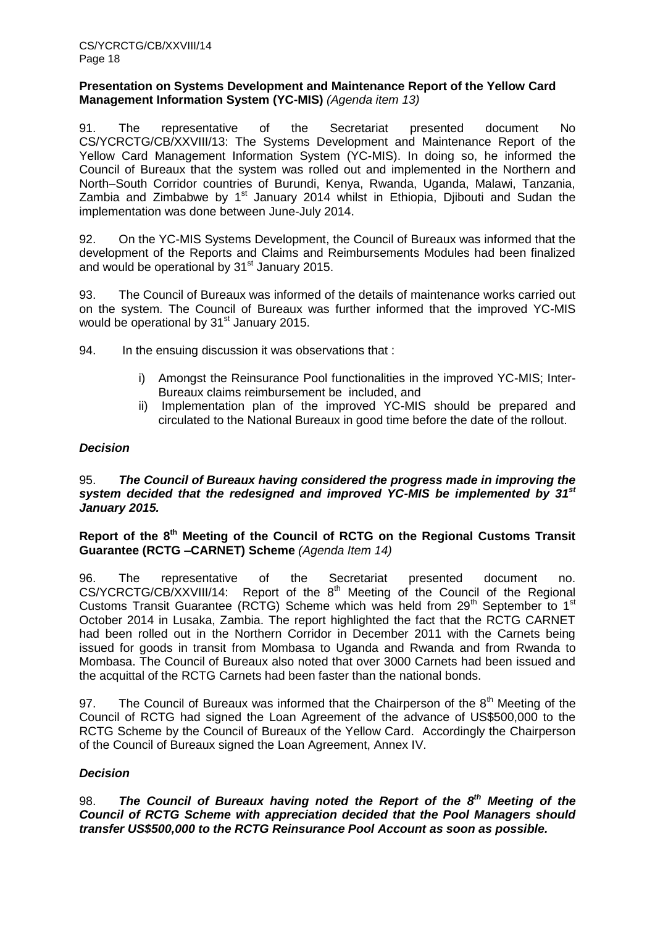#### **Presentation on Systems Development and Maintenance Report of the Yellow Card Management Information System (YC-MIS)** *(Agenda item 13)*

91. The representative of the Secretariat presented document No CS/YCRCTG/CB/XXVIII/13: The Systems Development and Maintenance Report of the Yellow Card Management Information System (YC-MIS). In doing so, he informed the Council of Bureaux that the system was rolled out and implemented in the Northern and North–South Corridor countries of Burundi, Kenya, Rwanda, Uganda, Malawi, Tanzania, Zambia and Zimbabwe by  $1<sup>st</sup>$  January 2014 whilst in Ethiopia, Djibouti and Sudan the implementation was done between June-July 2014.

92. On the YC-MIS Systems Development, the Council of Bureaux was informed that the development of the Reports and Claims and Reimbursements Modules had been finalized and would be operational by 31<sup>st</sup> January 2015.

93. The Council of Bureaux was informed of the details of maintenance works carried out on the system. The Council of Bureaux was further informed that the improved YC-MIS would be operational by 31<sup>st</sup> January 2015.

94. In the ensuing discussion it was observations that :

- i) Amongst the Reinsurance Pool functionalities in the improved YC-MIS; Inter-Bureaux claims reimbursement be included, and
- ii) Implementation plan of the improved YC-MIS should be prepared and circulated to the National Bureaux in good time before the date of the rollout.

## *Decision*

## 95. *The Council of Bureaux having considered the progress made in improving the system decided that the redesigned and improved YC-MIS be implemented by 31st January 2015.*

## **Report of the 8th Meeting of the Council of RCTG on the Regional Customs Transit Guarantee (RCTG –CARNET) Scheme** *(Agenda Item 14)*

96. The representative of the Secretariat presented document no.  $CS/YCRCTG/CB/XXVIII/14$ : Report of the  $8<sup>th</sup>$  Meeting of the Council of the Regional Customs Transit Guarantee (RCTG) Scheme which was held from  $29<sup>th</sup>$  September to 1<sup>st</sup> October 2014 in Lusaka, Zambia. The report highlighted the fact that the RCTG CARNET had been rolled out in the Northern Corridor in December 2011 with the Carnets being issued for goods in transit from Mombasa to Uganda and Rwanda and from Rwanda to Mombasa. The Council of Bureaux also noted that over 3000 Carnets had been issued and the acquittal of the RCTG Carnets had been faster than the national bonds.

97. The Council of Bureaux was informed that the Chairperson of the  $8<sup>th</sup>$  Meeting of the Council of RCTG had signed the Loan Agreement of the advance of US\$500,000 to the RCTG Scheme by the Council of Bureaux of the Yellow Card. Accordingly the Chairperson of the Council of Bureaux signed the Loan Agreement, Annex IV.

## *Decision*

98. The Council of Bureaux having noted the Report of the 8<sup>th</sup> Meeting of the *Council of RCTG Scheme with appreciation decided that the Pool Managers should transfer US\$500,000 to the RCTG Reinsurance Pool Account as soon as possible.*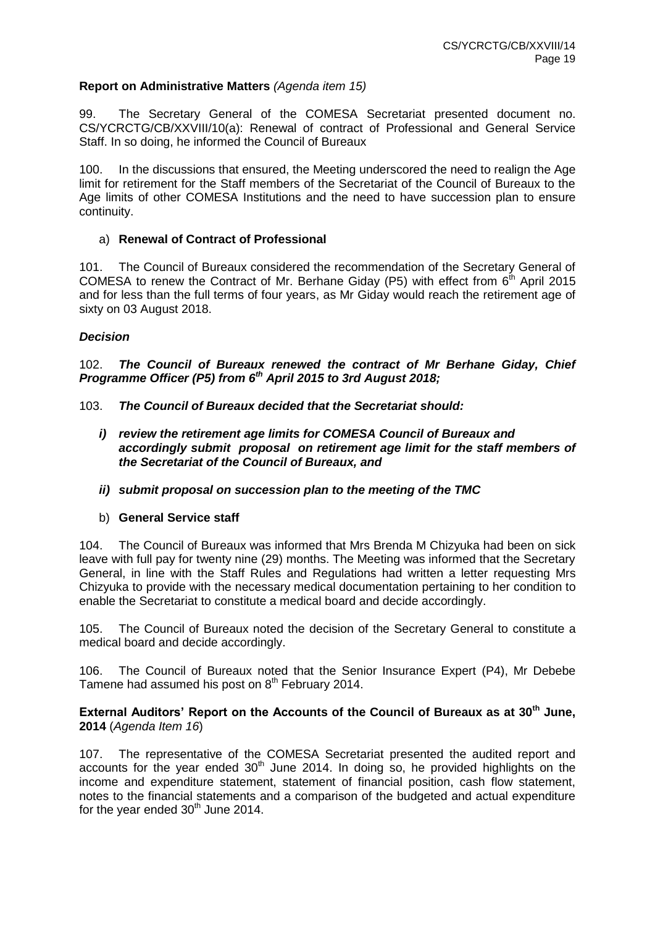### **Report on Administrative Matters** *(Agenda item 15)*

99. The Secretary General of the COMESA Secretariat presented document no. CS/YCRCTG/CB/XXVIII/10(a): Renewal of contract of Professional and General Service Staff. In so doing, he informed the Council of Bureaux

100. In the discussions that ensured, the Meeting underscored the need to realign the Age limit for retirement for the Staff members of the Secretariat of the Council of Bureaux to the Age limits of other COMESA Institutions and the need to have succession plan to ensure continuity.

#### a) **Renewal of Contract of Professional**

101. The Council of Bureaux considered the recommendation of the Secretary General of COMESA to renew the Contract of Mr. Berhane Giday (P5) with effect from  $6<sup>th</sup>$  April 2015 and for less than the full terms of four years, as Mr Giday would reach the retirement age of sixty on 03 August 2018.

#### *Decision*

102. *The Council of Bureaux renewed the contract of Mr Berhane Giday, Chief Programme Officer (P5) from 6th April 2015 to 3rd August 2018;*

103. *The Council of Bureaux decided that the Secretariat should:*

- *i) review the retirement age limits for COMESA Council of Bureaux and accordingly submit proposal on retirement age limit for the staff members of the Secretariat of the Council of Bureaux, and*
- *ii) submit proposal on succession plan to the meeting of the TMC*
- b) **General Service staff**

104. The Council of Bureaux was informed that Mrs Brenda M Chizyuka had been on sick leave with full pay for twenty nine (29) months. The Meeting was informed that the Secretary General, in line with the Staff Rules and Regulations had written a letter requesting Mrs Chizyuka to provide with the necessary medical documentation pertaining to her condition to enable the Secretariat to constitute a medical board and decide accordingly.

105. The Council of Bureaux noted the decision of the Secretary General to constitute a medical board and decide accordingly.

106. The Council of Bureaux noted that the Senior Insurance Expert (P4), Mr Debebe Tamene had assumed his post on 8<sup>th</sup> February 2014.

**External Auditors' Report on the Accounts of the Council of Bureaux as at 30th June, 2014** (*Agenda Item 16*)

107. The representative of the COMESA Secretariat presented the audited report and accounts for the year ended  $30<sup>th</sup>$  June 2014. In doing so, he provided highlights on the income and expenditure statement, statement of financial position, cash flow statement, notes to the financial statements and a comparison of the budgeted and actual expenditure for the year ended  $30<sup>th</sup>$  June 2014.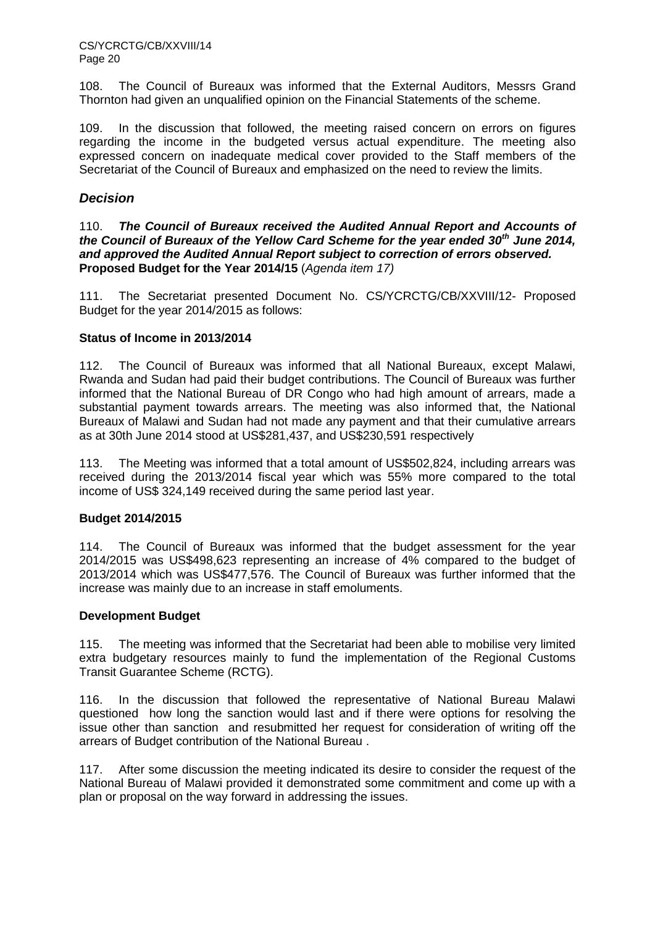CS/YCRCTG/CB/XXVIII/14 Page 20

108. The Council of Bureaux was informed that the External Auditors, Messrs Grand Thornton had given an unqualified opinion on the Financial Statements of the scheme.

109. In the discussion that followed, the meeting raised concern on errors on figures regarding the income in the budgeted versus actual expenditure. The meeting also expressed concern on inadequate medical cover provided to the Staff members of the Secretariat of the Council of Bureaux and emphasized on the need to review the limits.

### *Decision*

110. *The Council of Bureaux received the Audited Annual Report and Accounts of the Council of Bureaux of the Yellow Card Scheme for the year ended 30th June 2014, and approved the Audited Annual Report subject to correction of errors observed.* **Proposed Budget for the Year 2014/15** (*Agenda item 17)*

111. The Secretariat presented Document No. CS/YCRCTG/CB/XXVIII/12- Proposed Budget for the year 2014/2015 as follows:

#### **Status of Income in 2013/2014**

112. The Council of Bureaux was informed that all National Bureaux, except Malawi, Rwanda and Sudan had paid their budget contributions. The Council of Bureaux was further informed that the National Bureau of DR Congo who had high amount of arrears, made a substantial payment towards arrears. The meeting was also informed that, the National Bureaux of Malawi and Sudan had not made any payment and that their cumulative arrears as at 30th June 2014 stood at US\$281,437, and US\$230,591 respectively

113. The Meeting was informed that a total amount of US\$502,824, including arrears was received during the 2013/2014 fiscal year which was 55% more compared to the total income of US\$ 324,149 received during the same period last year.

#### **Budget 2014/2015**

114. The Council of Bureaux was informed that the budget assessment for the year 2014/2015 was US\$498,623 representing an increase of 4% compared to the budget of 2013/2014 which was US\$477,576. The Council of Bureaux was further informed that the increase was mainly due to an increase in staff emoluments.

#### **Development Budget**

115. The meeting was informed that the Secretariat had been able to mobilise very limited extra budgetary resources mainly to fund the implementation of the Regional Customs Transit Guarantee Scheme (RCTG).

116. In the discussion that followed the representative of National Bureau Malawi questioned how long the sanction would last and if there were options for resolving the issue other than sanction and resubmitted her request for consideration of writing off the arrears of Budget contribution of the National Bureau .

117. After some discussion the meeting indicated its desire to consider the request of the National Bureau of Malawi provided it demonstrated some commitment and come up with a plan or proposal on the way forward in addressing the issues.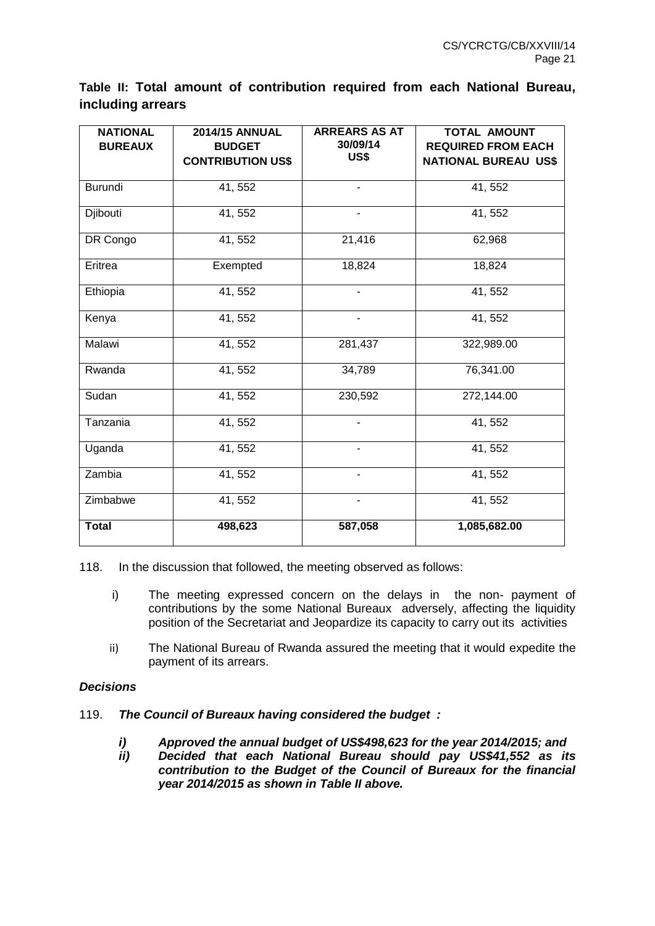## **Table II: Total amount of contribution required from each National Bureau, including arrears**

| <b>NATIONAL</b><br><b>BUREAUX</b> | <b>2014/15 ANNUAL</b><br><b>BUDGET</b><br><b>CONTRIBUTION US\$</b> | <b>ARREARS AS AT</b><br>30/09/14<br>US\$ | <b>TOTAL AMOUNT</b><br><b>REQUIRED FROM EACH</b><br><b>NATIONAL BUREAU US\$</b> |
|-----------------------------------|--------------------------------------------------------------------|------------------------------------------|---------------------------------------------------------------------------------|
| Burundi                           | 41, 552                                                            |                                          | 41, 552                                                                         |
| Djibouti                          | 41, 552                                                            |                                          | 41, 552                                                                         |
| DR Congo                          | 41, 552                                                            | 21,416                                   | 62,968                                                                          |
| Eritrea                           | Exempted                                                           | 18,824                                   | 18,824                                                                          |
| Ethiopia                          | 41, 552                                                            |                                          | 41, 552                                                                         |
| Kenya                             | 41, 552                                                            | $\overline{\phantom{0}}$                 | 41, 552                                                                         |
| Malawi                            | 41, 552                                                            | 281,437                                  | 322,989.00                                                                      |
| Rwanda                            | 41, 552                                                            | 34,789                                   | 76,341.00                                                                       |
| Sudan                             | 41, 552                                                            | 230,592                                  | 272,144.00                                                                      |
| Tanzania                          | 41, 552                                                            |                                          | 41, 552                                                                         |
| Uganda                            | 41, 552                                                            | -                                        | 41, 552                                                                         |
| Zambia                            | 41, 552                                                            | $\frac{1}{2}$                            | 41, 552                                                                         |
| Zimbabwe                          | 41, 552                                                            |                                          | 41, 552                                                                         |
| <b>Total</b>                      | 498,623                                                            | 587,058                                  | 1,085,682.00                                                                    |

118. In the discussion that followed, the meeting observed as follows:

- i) The meeting expressed concern on the delays in the non- payment of contributions by the some National Bureaux adversely, affecting the liquidity position of the Secretariat and Jeopardize its capacity to carry out its activities
- ii) The National Bureau of Rwanda assured the meeting that it would expedite the payment of its arrears.

## *Decisions*

- 119. *The Council of Bureaux having considered the budget :*
	- *i) Approved the annual budget of US\$498,623 for the year 2014/2015; and*
	- *ii) Decided that each National Bureau should pay US\$41,552 as its contribution to the Budget of the Council of Bureaux for the financial year 2014/2015 as shown in Table II above.*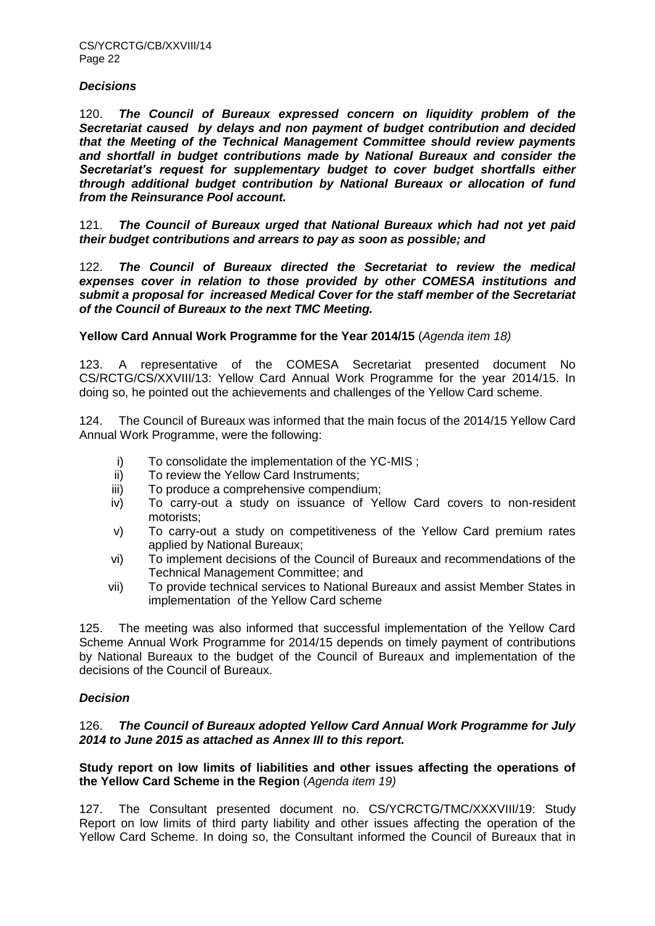#### *Decisions*

120. *The Council of Bureaux expressed concern on liquidity problem of the Secretariat caused by delays and non payment of budget contribution and decided that the Meeting of the Technical Management Committee should review payments and shortfall in budget contributions made by National Bureaux and consider the Secretariat's request for supplementary budget to cover budget shortfalls either through additional budget contribution by National Bureaux or allocation of fund from the Reinsurance Pool account.*

121. *The Council of Bureaux urged that National Bureaux which had not yet paid their budget contributions and arrears to pay as soon as possible; and*

122. *The Council of Bureaux directed the Secretariat to review the medical expenses cover in relation to those provided by other COMESA institutions and submit a proposal for increased Medical Cover for the staff member of the Secretariat of the Council of Bureaux to the next TMC Meeting.*

**Yellow Card Annual Work Programme for the Year 2014/15** (*Agenda item 18)*

123. A representative of the COMESA Secretariat presented document No CS/RCTG/CS/XXVIII/13: Yellow Card Annual Work Programme for the year 2014/15. In doing so, he pointed out the achievements and challenges of the Yellow Card scheme.

124. The Council of Bureaux was informed that the main focus of the 2014/15 Yellow Card Annual Work Programme, were the following:

- i) To consolidate the implementation of the YC-MIS ;
- ii) To review the Yellow Card Instruments;
- iii) To produce a comprehensive compendium;
- iv) To carry-out a study on issuance of Yellow Card covers to non-resident motorists;
- v) To carry-out a study on competitiveness of the Yellow Card premium rates applied by National Bureaux;
- vi) To implement decisions of the Council of Bureaux and recommendations of the Technical Management Committee; and
- vii) To provide technical services to National Bureaux and assist Member States in implementation of the Yellow Card scheme

125. The meeting was also informed that successful implementation of the Yellow Card Scheme Annual Work Programme for 2014/15 depends on timely payment of contributions by National Bureaux to the budget of the Council of Bureaux and implementation of the decisions of the Council of Bureaux.

## *Decision*

#### 126. *The Council of Bureaux adopted Yellow Card Annual Work Programme for July 2014 to June 2015 as attached as Annex III to this report.*

**Study report on low limits of liabilities and other issues affecting the operations of the Yellow Card Scheme in the Region** (*Agenda item 19)*

127. The Consultant presented document no. CS/YCRCTG/TMC/XXXVIII/19: Study Report on low limits of third party liability and other issues affecting the operation of the Yellow Card Scheme. In doing so, the Consultant informed the Council of Bureaux that in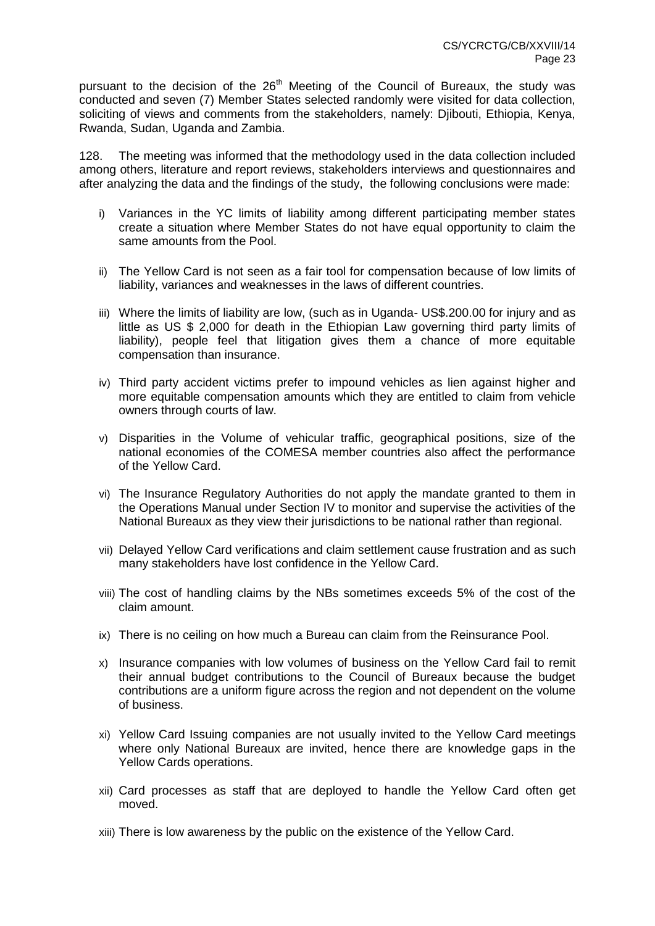pursuant to the decision of the  $26<sup>th</sup>$  Meeting of the Council of Bureaux, the study was conducted and seven (7) Member States selected randomly were visited for data collection, soliciting of views and comments from the stakeholders, namely: Djibouti, Ethiopia, Kenya, Rwanda, Sudan, Uganda and Zambia.

128. The meeting was informed that the methodology used in the data collection included among others, literature and report reviews, stakeholders interviews and questionnaires and after analyzing the data and the findings of the study, the following conclusions were made:

- i) Variances in the YC limits of liability among different participating member states create a situation where Member States do not have equal opportunity to claim the same amounts from the Pool.
- ii) The Yellow Card is not seen as a fair tool for compensation because of low limits of liability, variances and weaknesses in the laws of different countries.
- iii) Where the limits of liability are low, (such as in Uganda- US\$.200.00 for injury and as little as US \$ 2,000 for death in the Ethiopian Law governing third party limits of liability), people feel that litigation gives them a chance of more equitable compensation than insurance.
- iv) Third party accident victims prefer to impound vehicles as lien against higher and more equitable compensation amounts which they are entitled to claim from vehicle owners through courts of law.
- v) Disparities in the Volume of vehicular traffic, geographical positions, size of the national economies of the COMESA member countries also affect the performance of the Yellow Card.
- vi) The Insurance Regulatory Authorities do not apply the mandate granted to them in the Operations Manual under Section IV to monitor and supervise the activities of the National Bureaux as they view their jurisdictions to be national rather than regional.
- vii) Delayed Yellow Card verifications and claim settlement cause frustration and as such many stakeholders have lost confidence in the Yellow Card.
- viii) The cost of handling claims by the NBs sometimes exceeds 5% of the cost of the claim amount.
- ix) There is no ceiling on how much a Bureau can claim from the Reinsurance Pool.
- x) Insurance companies with low volumes of business on the Yellow Card fail to remit their annual budget contributions to the Council of Bureaux because the budget contributions are a uniform figure across the region and not dependent on the volume of business.
- xi) Yellow Card Issuing companies are not usually invited to the Yellow Card meetings where only National Bureaux are invited, hence there are knowledge gaps in the Yellow Cards operations.
- xii) Card processes as staff that are deployed to handle the Yellow Card often get moved.
- xiii) There is low awareness by the public on the existence of the Yellow Card.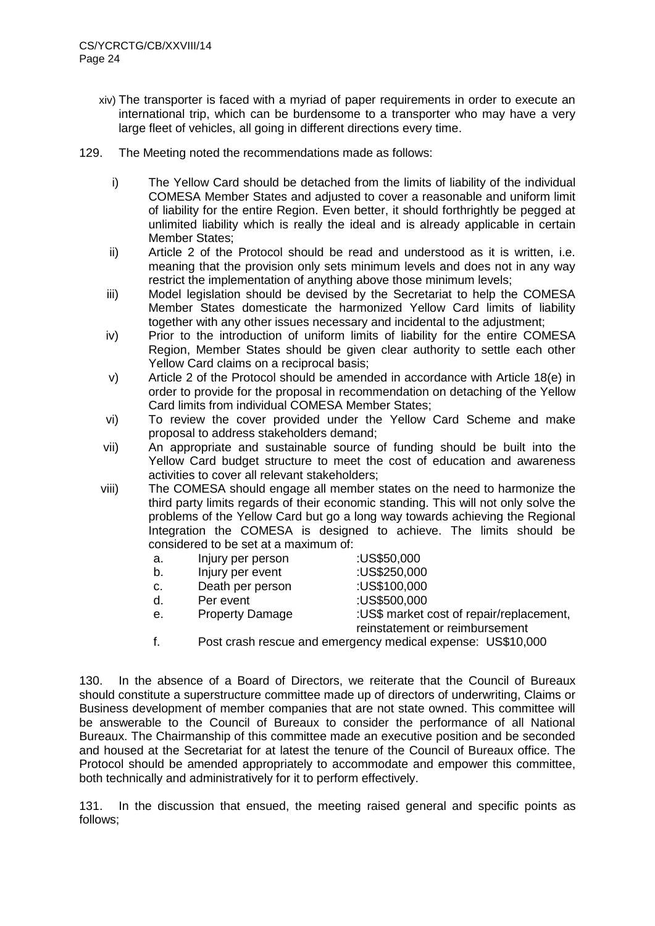- xiv) The transporter is faced with a myriad of paper requirements in order to execute an international trip, which can be burdensome to a transporter who may have a very large fleet of vehicles, all going in different directions every time.
- 129. The Meeting noted the recommendations made as follows:
	- i) The Yellow Card should be detached from the limits of liability of the individual COMESA Member States and adjusted to cover a reasonable and uniform limit of liability for the entire Region. Even better, it should forthrightly be pegged at unlimited liability which is really the ideal and is already applicable in certain Member States:
	- ii) Article 2 of the Protocol should be read and understood as it is written, i.e. meaning that the provision only sets minimum levels and does not in any way restrict the implementation of anything above those minimum levels;
	- iii) Model legislation should be devised by the Secretariat to help the COMESA Member States domesticate the harmonized Yellow Card limits of liability together with any other issues necessary and incidental to the adjustment;
	- iv) Prior to the introduction of uniform limits of liability for the entire COMESA Region, Member States should be given clear authority to settle each other Yellow Card claims on a reciprocal basis;
	- v) Article 2 of the Protocol should be amended in accordance with Article 18(e) in order to provide for the proposal in recommendation on detaching of the Yellow Card limits from individual COMESA Member States;
	- vi) To review the cover provided under the Yellow Card Scheme and make proposal to address stakeholders demand;
	- vii) An appropriate and sustainable source of funding should be built into the Yellow Card budget structure to meet the cost of education and awareness activities to cover all relevant stakeholders;
	- viii) The COMESA should engage all member states on the need to harmonize the third party limits regards of their economic standing. This will not only solve the problems of the Yellow Card but go a long way towards achieving the Regional Integration the COMESA is designed to achieve. The limits should be considered to be set at a maximum of:
		- a. Injury per person :US\$50,000
		- b. Injury per event :US\$250,000
		- c. Death per person :US\$100,000
		- d. Per event :US\$500,000
- -
	- e. Property Damage :US\$ market cost of repair/replacement, reinstatement or reimbursement
	- f. Post crash rescue and emergency medical expense: US\$10,000

130. In the absence of a Board of Directors, we reiterate that the Council of Bureaux should constitute a superstructure committee made up of directors of underwriting, Claims or Business development of member companies that are not state owned. This committee will be answerable to the Council of Bureaux to consider the performance of all National Bureaux. The Chairmanship of this committee made an executive position and be seconded and housed at the Secretariat for at latest the tenure of the Council of Bureaux office. The Protocol should be amended appropriately to accommodate and empower this committee, both technically and administratively for it to perform effectively.

131. In the discussion that ensued, the meeting raised general and specific points as follows;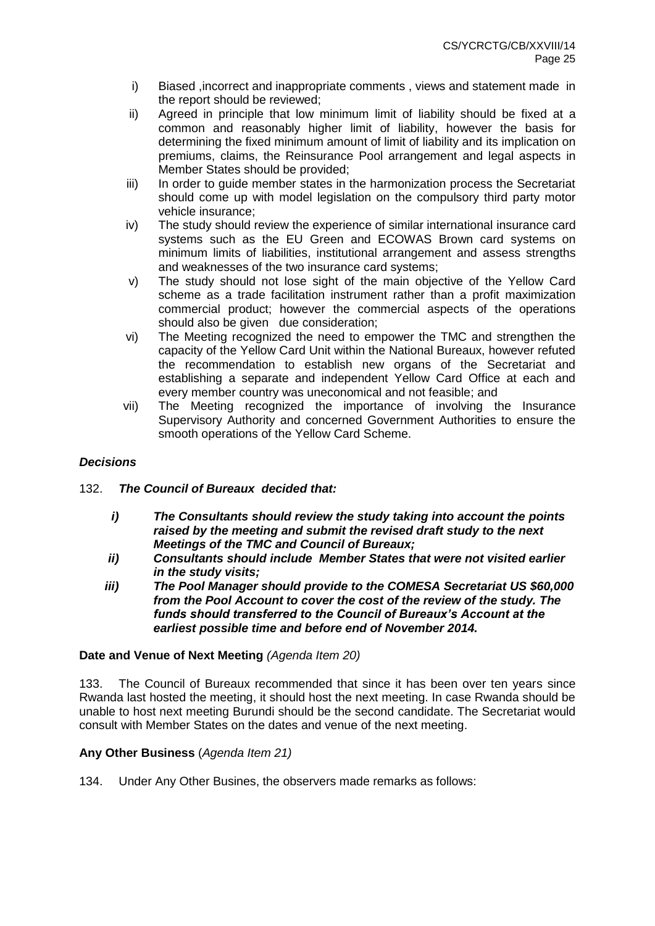- i) Biased ,incorrect and inappropriate comments , views and statement made in the report should be reviewed;
- ii) Agreed in principle that low minimum limit of liability should be fixed at a common and reasonably higher limit of liability, however the basis for determining the fixed minimum amount of limit of liability and its implication on premiums, claims, the Reinsurance Pool arrangement and legal aspects in Member States should be provided;
- iii) In order to quide member states in the harmonization process the Secretariat should come up with model legislation on the compulsory third party motor vehicle insurance;
- iv) The study should review the experience of similar international insurance card systems such as the EU Green and ECOWAS Brown card systems on minimum limits of liabilities, institutional arrangement and assess strengths and weaknesses of the two insurance card systems;
- v) The study should not lose sight of the main objective of the Yellow Card scheme as a trade facilitation instrument rather than a profit maximization commercial product; however the commercial aspects of the operations should also be given due consideration;
- vi) The Meeting recognized the need to empower the TMC and strengthen the capacity of the Yellow Card Unit within the National Bureaux, however refuted the recommendation to establish new organs of the Secretariat and establishing a separate and independent Yellow Card Office at each and every member country was uneconomical and not feasible; and
- vii) The Meeting recognized the importance of involving the Insurance Supervisory Authority and concerned Government Authorities to ensure the smooth operations of the Yellow Card Scheme.

## *Decisions*

- 132. *The Council of Bureaux decided that:*
	- *i) The Consultants should review the study taking into account the points raised by the meeting and submit the revised draft study to the next Meetings of the TMC and Council of Bureaux;*
	- *ii) Consultants should include Member States that were not visited earlier in the study visits;*
	- *iii) The Pool Manager should provide to the COMESA Secretariat US \$60,000 from the Pool Account to cover the cost of the review of the study. The funds should transferred to the Council of Bureaux's Account at the earliest possible time and before end of November 2014.*

## **Date and Venue of Next Meeting** *(Agenda Item 20)*

133. The Council of Bureaux recommended that since it has been over ten years since Rwanda last hosted the meeting, it should host the next meeting. In case Rwanda should be unable to host next meeting Burundi should be the second candidate. The Secretariat would consult with Member States on the dates and venue of the next meeting.

## **Any Other Business** (*Agenda Item 21)*

134. Under Any Other Busines, the observers made remarks as follows: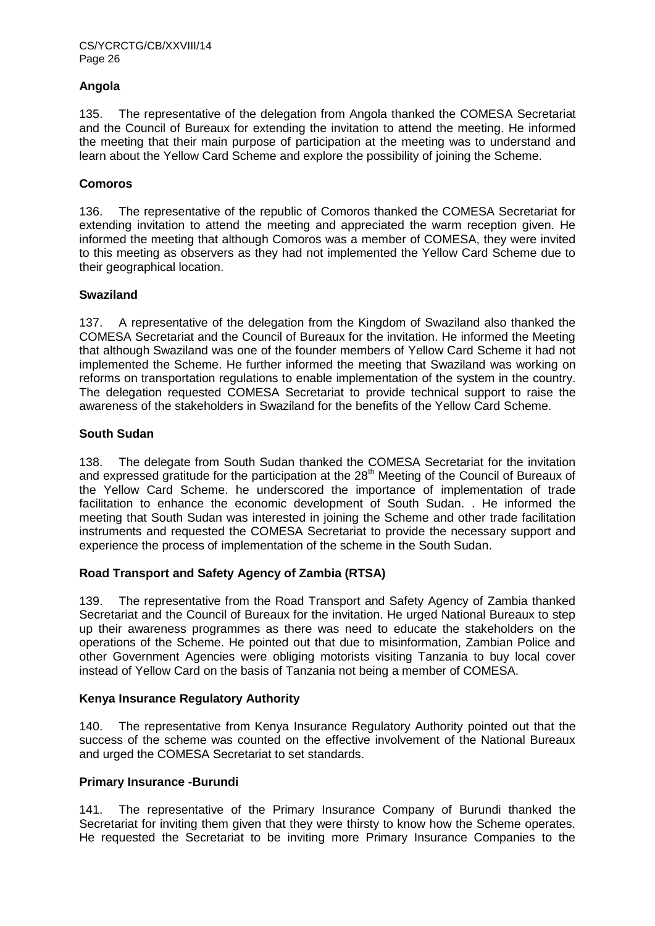## **Angola**

135. The representative of the delegation from Angola thanked the COMESA Secretariat and the Council of Bureaux for extending the invitation to attend the meeting. He informed the meeting that their main purpose of participation at the meeting was to understand and learn about the Yellow Card Scheme and explore the possibility of joining the Scheme.

## **Comoros**

136. The representative of the republic of Comoros thanked the COMESA Secretariat for extending invitation to attend the meeting and appreciated the warm reception given. He informed the meeting that although Comoros was a member of COMESA, they were invited to this meeting as observers as they had not implemented the Yellow Card Scheme due to their geographical location.

## **Swaziland**

137. A representative of the delegation from the Kingdom of Swaziland also thanked the COMESA Secretariat and the Council of Bureaux for the invitation. He informed the Meeting that although Swaziland was one of the founder members of Yellow Card Scheme it had not implemented the Scheme. He further informed the meeting that Swaziland was working on reforms on transportation regulations to enable implementation of the system in the country. The delegation requested COMESA Secretariat to provide technical support to raise the awareness of the stakeholders in Swaziland for the benefits of the Yellow Card Scheme.

## **South Sudan**

138. The delegate from South Sudan thanked the COMESA Secretariat for the invitation and expressed gratitude for the participation at the  $28<sup>th</sup>$  Meeting of the Council of Bureaux of the Yellow Card Scheme. he underscored the importance of implementation of trade facilitation to enhance the economic development of South Sudan. . He informed the meeting that South Sudan was interested in joining the Scheme and other trade facilitation instruments and requested the COMESA Secretariat to provide the necessary support and experience the process of implementation of the scheme in the South Sudan.

## **Road Transport and Safety Agency of Zambia (RTSA)**

139. The representative from the Road Transport and Safety Agency of Zambia thanked Secretariat and the Council of Bureaux for the invitation. He urged National Bureaux to step up their awareness programmes as there was need to educate the stakeholders on the operations of the Scheme. He pointed out that due to misinformation, Zambian Police and other Government Agencies were obliging motorists visiting Tanzania to buy local cover instead of Yellow Card on the basis of Tanzania not being a member of COMESA.

## **Kenya Insurance Regulatory Authority**

140. The representative from Kenya Insurance Regulatory Authority pointed out that the success of the scheme was counted on the effective involvement of the National Bureaux and urged the COMESA Secretariat to set standards.

## **Primary Insurance -Burundi**

141. The representative of the Primary Insurance Company of Burundi thanked the Secretariat for inviting them given that they were thirsty to know how the Scheme operates. He requested the Secretariat to be inviting more Primary Insurance Companies to the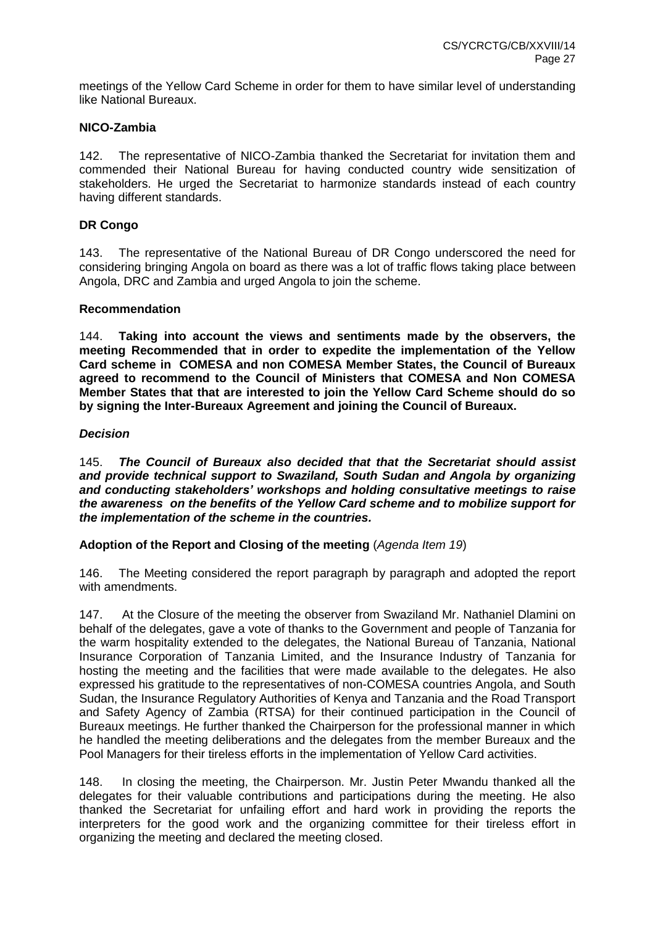meetings of the Yellow Card Scheme in order for them to have similar level of understanding like National Bureaux.

#### **NICO-Zambia**

142. The representative of NICO-Zambia thanked the Secretariat for invitation them and commended their National Bureau for having conducted country wide sensitization of stakeholders. He urged the Secretariat to harmonize standards instead of each country having different standards.

#### **DR Congo**

143. The representative of the National Bureau of DR Congo underscored the need for considering bringing Angola on board as there was a lot of traffic flows taking place between Angola, DRC and Zambia and urged Angola to join the scheme.

#### **Recommendation**

144. **Taking into account the views and sentiments made by the observers, the meeting Recommended that in order to expedite the implementation of the Yellow Card scheme in COMESA and non COMESA Member States, the Council of Bureaux agreed to recommend to the Council of Ministers that COMESA and Non COMESA Member States that that are interested to join the Yellow Card Scheme should do so by signing the Inter-Bureaux Agreement and joining the Council of Bureaux.** 

#### *Decision*

145. *The Council of Bureaux also decided that that the Secretariat should assist and provide technical support to Swaziland, South Sudan and Angola by organizing and conducting stakeholders' workshops and holding consultative meetings to raise the awareness on the benefits of the Yellow Card scheme and to mobilize support for the implementation of the scheme in the countries.*

#### **Adoption of the Report and Closing of the meeting** (*Agenda Item 19*)

146. The Meeting considered the report paragraph by paragraph and adopted the report with amendments.

147. At the Closure of the meeting the observer from Swaziland Mr. Nathaniel Dlamini on behalf of the delegates, gave a vote of thanks to the Government and people of Tanzania for the warm hospitality extended to the delegates, the National Bureau of Tanzania, National Insurance Corporation of Tanzania Limited, and the Insurance Industry of Tanzania for hosting the meeting and the facilities that were made available to the delegates. He also expressed his gratitude to the representatives of non-COMESA countries Angola, and South Sudan, the Insurance Regulatory Authorities of Kenya and Tanzania and the Road Transport and Safety Agency of Zambia (RTSA) for their continued participation in the Council of Bureaux meetings. He further thanked the Chairperson for the professional manner in which he handled the meeting deliberations and the delegates from the member Bureaux and the Pool Managers for their tireless efforts in the implementation of Yellow Card activities.

148. In closing the meeting, the Chairperson. Mr. Justin Peter Mwandu thanked all the delegates for their valuable contributions and participations during the meeting. He also thanked the Secretariat for unfailing effort and hard work in providing the reports the interpreters for the good work and the organizing committee for their tireless effort in organizing the meeting and declared the meeting closed.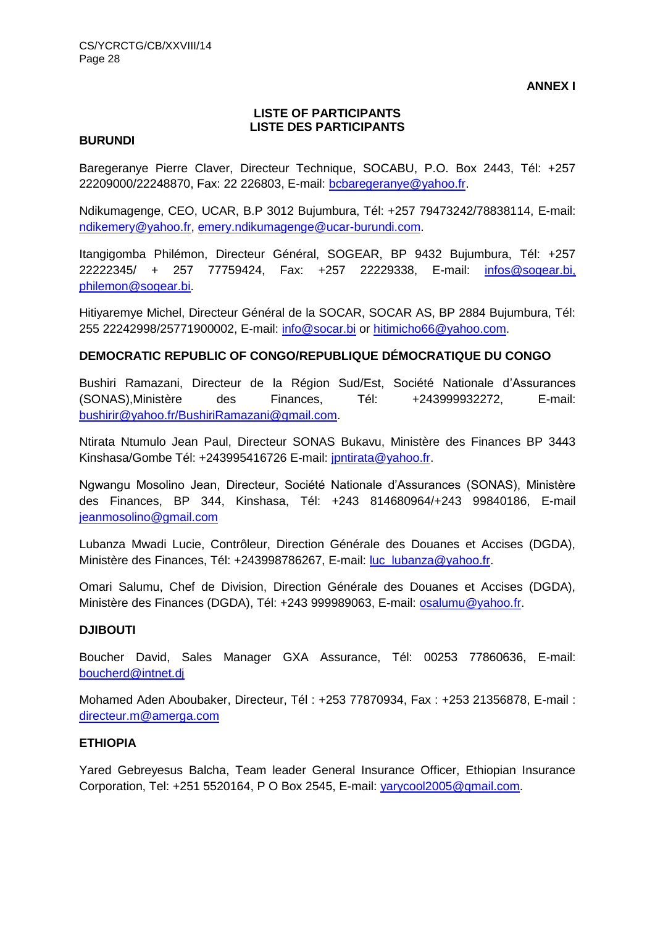**ANNEX I**

## **LISTE OF PARTICIPANTS LISTE DES PARTICIPANTS**

#### **BURUNDI**

Baregeranye Pierre Claver, Directeur Technique, SOCABU, P.O. Box 2443, Tél: +257 22209000/22248870, Fax: 22 226803, E-mail: [bcbaregeranye@yahoo.fr.](mailto:bcbaregeranye@yahoo.fr)

Ndikumagenge, CEO, UCAR, B.P 3012 Bujumbura, Tél: +257 79473242/78838114, E-mail: [ndikemery@yahoo.fr,](mailto:ndikemery@yahoo.fr) [emery.ndikumagenge@ucar-burundi.com.](mailto:emery.ndikumagenge@ucar-burundi.com)

Itangigomba Philémon, Directeur Général, SOGEAR, BP 9432 Bujumbura, Tél: +257 22222345/ + 257 77759424, Fax: +257 22229338, E-mail: infos@sogear.bi, [philemon@sogear.bi.](mailto:infos@sogear.bi,%20philemon@sogear.bi)

Hitiyaremye Michel, Directeur Général de la SOCAR, SOCAR AS, BP 2884 Bujumbura, Tél: 255 22242998/25771900002, E-mail: [info@socar.bi](mailto:info@socar.bi) or [hitimicho66@yahoo.com.](mailto:hitimicho66@yahoo.com)

#### **DEMOCRATIC REPUBLIC OF CONGO/REPUBLIQUE DÉMOCRATIQUE DU CONGO**

Bushiri Ramazani, Directeur de la Région Sud/Est, Société Nationale d'Assurances (SONAS),Ministère des Finances, Tél: +243999932272, E-mail: [bushirir@yahoo.fr/BushiriRamazani@gmail.com.](mailto:bushirir@yahoo.fr/BushiriRamazani@gmail.com)

Ntirata Ntumulo Jean Paul, Directeur SONAS Bukavu, Ministère des Finances BP 3443 Kinshasa/Gombe Tél: +243995416726 E-mail: [jpntirata@yahoo.fr.](mailto:jpntirata@yahoo.fr)

Ngwangu Mosolino Jean, Directeur, Société Nationale d'Assurances (SONAS), Ministère des Finances, BP 344, Kinshasa, Tél: +243 814680964/+243 99840186, E-mail [jeanmosolino@gmail.com](mailto:jeanmosolino@gmail.com)

Lubanza Mwadi Lucie, Contrôleur, Direction Générale des Douanes et Accises (DGDA), Ministère des Finances, Tél: +243998786267, E-mail: luc lubanza@yahoo.fr.

Omari Salumu, Chef de Division, Direction Générale des Douanes et Accises (DGDA), Ministère des Finances (DGDA), Tél: +243 999989063, E-mail: [osalumu@yahoo.fr.](mailto:osalumu@yahoo.fr)

#### **DJIBOUTI**

Boucher David, Sales Manager GXA Assurance, Tél: 00253 77860636, E-mail: [boucherd@intnet.dj](mailto:boucherd@intnet.dj)

Mohamed Aden Aboubaker, Directeur, Tél : +253 77870934, Fax : +253 21356878, E-mail : [directeur.m@amerga.com](mailto:directeur.m@amerga.com)

#### **ETHIOPIA**

Yared Gebreyesus Balcha, Team leader General Insurance Officer, Ethiopian Insurance Corporation, Tel: +251 5520164, P O Box 2545, E-mail: [yarycool2005@gmail.com.](mailto:yarycool2005@gmail.com)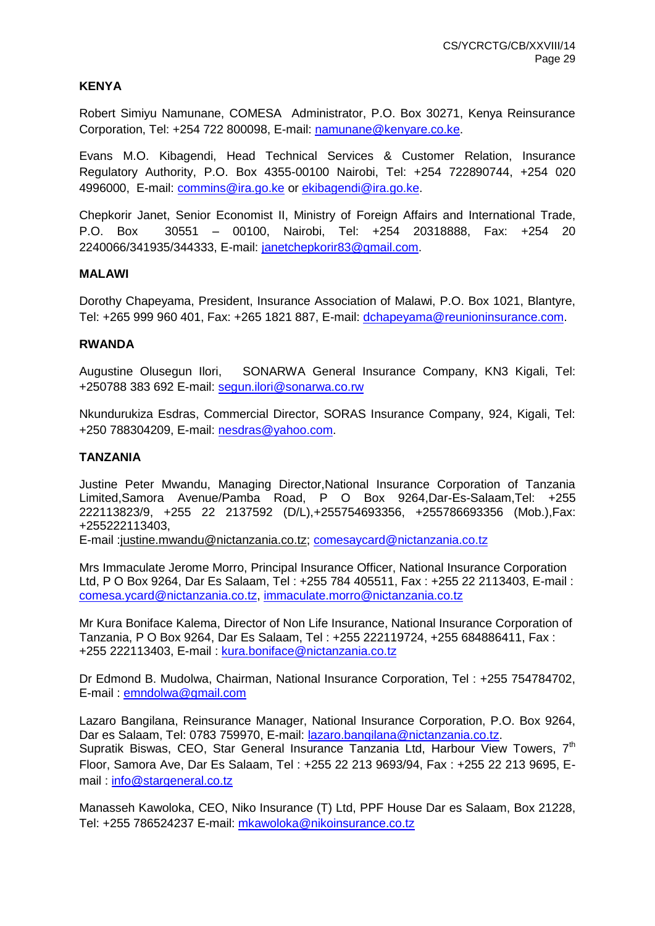## **KENYA**

Robert Simiyu Namunane, COMESA Administrator, P.O. Box 30271, Kenya Reinsurance Corporation, Tel: +254 722 800098, E-mail: [namunane@kenyare.co.ke.](mailto:namunane@kenyare.co.ke)

Evans M.O. Kibagendi, Head Technical Services & Customer Relation, Insurance Regulatory Authority, P.O. Box 4355-00100 Nairobi, Tel: +254 722890744, +254 020 4996000, E-mail: [commins@ira.go.ke](mailto:commins@ira.go.ke) or [ekibagendi@ira.go.ke.](mailto:ekibagendi@ira.go.ke)

Chepkorir Janet, Senior Economist II, Ministry of Foreign Affairs and International Trade, P.O. Box 30551 – 00100, Nairobi, Tel: +254 20318888, Fax: +254 20 2240066/341935/344333, E-mail: [janetchepkorir83@gmail.com.](mailto:janetchepkorir83@gmail.com)

#### **MALAWI**

Dorothy Chapeyama, President, Insurance Association of Malawi, P.O. Box 1021, Blantyre, Tel: +265 999 960 401, Fax: +265 1821 887, E-mail: [dchapeyama@reunioninsurance.com.](mailto:dchapeyama@reunioninsurance.com)

### **RWANDA**

Augustine Olusegun Ilori, SONARWA General Insurance Company, KN3 Kigali, Tel: +250788 383 692 E-mail: [segun.ilori@sonarwa.co.rw](mailto:segun.ilori@sonarwa.co.rw)

Nkundurukiza Esdras, Commercial Director, SORAS Insurance Company, 924, Kigali, Tel: +250 788304209, E-mail: [nesdras@yahoo.com.](mailto:nesdras@yahoo.com)

## **TANZANIA**

Justine Peter Mwandu, Managing Director,National Insurance Corporation of Tanzania Limited,Samora Avenue/Pamba Road, P O Box 9264,Dar-Es-Salaam,Tel: +255 222113823/9, +255 22 2137592 (D/L),+255754693356, +255786693356 (Mob.),Fax: +255222113403,

E-mail [:justine.mwandu@nictanzania.co.tz;](mailto:justine.mwandu@nictanzania.co.tz) [comesaycard@nictanzania.co.tz](mailto:comesaycard@nictanzania.co.tz)

Mrs Immaculate Jerome Morro, Principal Insurance Officer, National Insurance Corporation Ltd, P O Box 9264, Dar Es Salaam, Tel : +255 784 405511, Fax : +255 22 2113403, E-mail : [comesa.ycard@nictanzania.co.tz,](mailto:comesa.ycard@nictanzania.co.tz) [immaculate.morro@nictanzania.co.tz](mailto:immaculate.morro@nictanzania.co.tz)

Mr Kura Boniface Kalema, Director of Non Life Insurance, National Insurance Corporation of Tanzania, P O Box 9264, Dar Es Salaam, Tel : +255 222119724, +255 684886411, Fax : +255 222113403, E-mail : [kura.boniface@nictanzania.co.tz](mailto:kura.boniface@nictanzania.co.tz)

Dr Edmond B. Mudolwa, Chairman, National Insurance Corporation, Tel : +255 754784702, E-mail : [emndolwa@gmail.com](mailto:emndolwa@gmail.com)

Lazaro Bangilana, Reinsurance Manager, National Insurance Corporation, P.O. Box 9264, Dar es Salaam, Tel: 0783 759970, E-mail: [lazaro.bangilana@nictanzania.co.tz.](mailto:lazaro.bangilana@nictanzania.co.tz) Supratik Biswas, CEO, Star General Insurance Tanzania Ltd, Harbour View Towers,  $7<sup>th</sup>$ Floor, Samora Ave, Dar Es Salaam, Tel : +255 22 213 9693/94, Fax : +255 22 213 9695, Email : [info@stargeneral.co.tz](mailto:info@stargeneral.co.tz)

Manasseh Kawoloka, CEO, Niko Insurance (T) Ltd, PPF House Dar es Salaam, Box 21228, Tel: +255 786524237 E-mail: [mkawoloka@nikoinsurance.co.tz](mailto:mkawoloka@nikoinsurance.co.tz)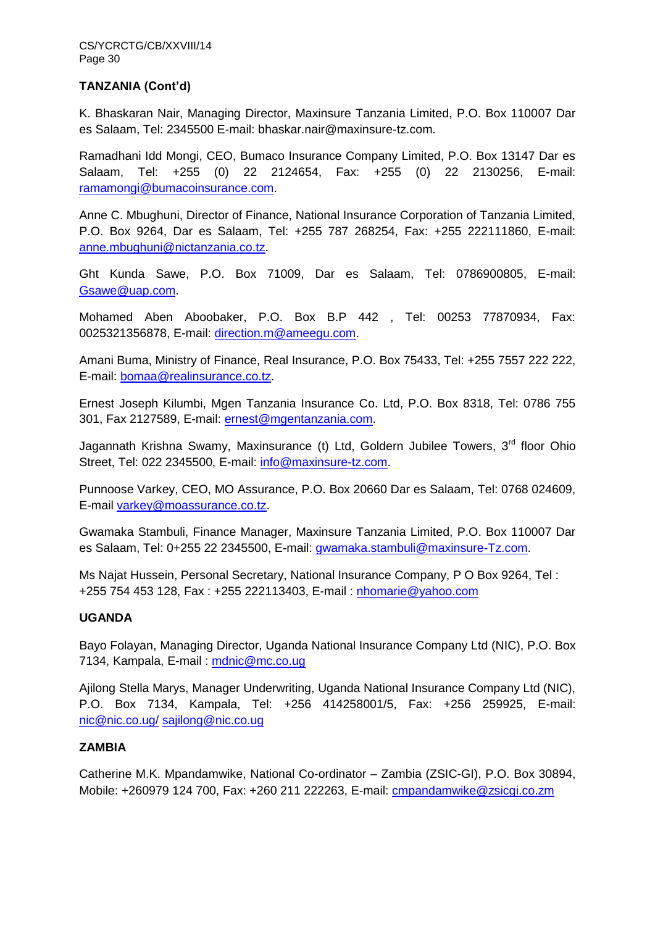## **TANZANIA (Cont'd)**

K. Bhaskaran Nair, Managing Director, Maxinsure Tanzania Limited, P.O. Box 110007 Dar es Salaam, Tel: 2345500 E-mail: bhaskar.nair@maxinsure-tz.com.

Ramadhani Idd Mongi, CEO, Bumaco Insurance Company Limited, P.O. Box 13147 Dar es Salaam, Tel: +255 (0) 22 2124654, Fax: +255 (0) 22 2130256, E-mail: [ramamongi@bumacoinsurance.com.](mailto:ramamongi@bumacoinsurance.com)

Anne C. Mbughuni, Director of Finance, National Insurance Corporation of Tanzania Limited, P.O. Box 9264, Dar es Salaam, Tel: +255 787 268254, Fax: +255 222111860, E-mail: [anne.mbughuni@nictanzania.co.tz.](mailto:anne.mbughuni@nictanzania.co.tz)

Ght Kunda Sawe, P.O. Box 71009, Dar es Salaam, Tel: 0786900805, E-mail: [Gsawe@uap.com.](mailto:Gsawe@uap.com)

Mohamed Aben Aboobaker, P.O. Box B.P 442 , Tel: 00253 77870934, Fax: 0025321356878, E-mail: [direction.m@ameegu.com.](mailto:direction.m@ameegu.com)

Amani Buma, Ministry of Finance, Real Insurance, P.O. Box 75433, Tel: +255 7557 222 222, E-mail: [bomaa@realinsurance.co.tz.](mailto:bomaa@realinsurance.co.tz)

Ernest Joseph Kilumbi, Mgen Tanzania Insurance Co. Ltd, P.O. Box 8318, Tel: 0786 755 301, Fax 2127589, E-mail: [ernest@mgentanzania.com.](mailto:ernest@mgentanzania.com)

Jagannath Krishna Swamy, Maxinsurance (t) Ltd, Goldern Jubilee Towers, 3<sup>rd</sup> floor Ohio Street, Tel: 022 2345500, E-mail: [info@maxinsure-tz.com.](mailto:info@maxinsure-tz.com)

Punnoose Varkey, CEO, MO Assurance, P.O. Box 20660 Dar es Salaam, Tel: 0768 024609, E-mail [varkey@moassurance.co.tz.](mailto:varkey@moassurance.co.tz)

Gwamaka Stambuli, Finance Manager, Maxinsure Tanzania Limited, P.O. Box 110007 Dar es Salaam, Tel: 0+255 22 2345500, E-mail: [gwamaka.stambuli@maxinsure-Tz.com.](mailto:gwamaka.stambuli@maxinsure-Tz.com)

Ms Najat Hussein, Personal Secretary, National Insurance Company, P O Box 9264, Tel : +255 754 453 128, Fax : +255 222113403, E-mail : [nhomarie@yahoo.com](mailto:nhomarie@yahoo.com)

## **UGANDA**

Bayo Folayan, Managing Director, Uganda National Insurance Company Ltd (NIC), P.O. Box 7134, Kampala, E-mail: [mdnic@mc.co.ug](mailto:mdnic@mc.co.ug)

Ajilong Stella Marys, Manager Underwriting, Uganda National Insurance Company Ltd (NIC), P.O. Box 7134, Kampala, Tel: +256 414258001/5, Fax: +256 259925, E-mail: [nic@nic.co.ug/](mailto:nic@nic.co.ug/) [sajilong@nic.co.ug](mailto:sajilong@nic.co.ug)

## **ZAMBIA**

Catherine M.K. Mpandamwike, National Co-ordinator – Zambia (ZSIC-GI), P.O. Box 30894, Mobile: +260979 124 700, Fax: +260 211 222263, E-mail: [cmpandamwike@zsicgi.co.zm](mailto:cmpandamwike@zsicgi.co.zm)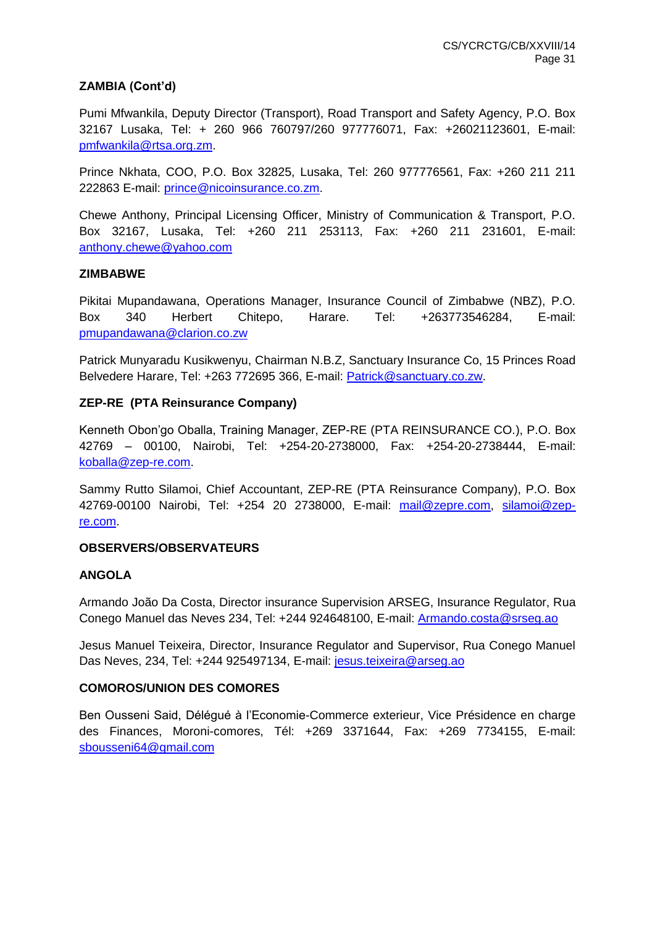## **ZAMBIA (Cont'd)**

Pumi Mfwankila, Deputy Director (Transport), Road Transport and Safety Agency, P.O. Box 32167 Lusaka, Tel: + 260 966 760797/260 977776071, Fax: +26021123601, E-mail: [pmfwankila@rtsa.org.zm.](mailto:pmfwankila@rtsa.org.zm)

Prince Nkhata, COO, P.O. Box 32825, Lusaka, Tel: 260 977776561, Fax: +260 211 211 222863 E-mail: [prince@nicoinsurance.co.zm.](mailto:prince@nicoinsurance.co.zm)

Chewe Anthony, Principal Licensing Officer, Ministry of Communication & Transport, P.O. Box 32167, Lusaka, Tel: +260 211 253113, Fax: +260 211 231601, E-mail: [anthony.chewe@yahoo.com](mailto:anthony.chewe@yahoo.com)

#### **ZIMBABWE**

Pikitai Mupandawana, Operations Manager, Insurance Council of Zimbabwe (NBZ), P.O. Box 340 Herbert Chitepo, Harare. Tel: +263773546284, E-mail: [pmupandawana@clarion.co.zw](mailto:pmupandawana@clarion.co.zw)

Patrick Munyaradu Kusikwenyu, Chairman N.B.Z, Sanctuary Insurance Co, 15 Princes Road Belvedere Harare, Tel: +263 772695 366, E-mail: [Patrick@sanctuary.co.zw.](mailto:Patrick@sanctuary.co.zw)

## **ZEP-RE (PTA Reinsurance Company)**

Kenneth Obon'go Oballa, Training Manager, ZEP-RE (PTA REINSURANCE CO.), P.O. Box 42769 – 00100, Nairobi, Tel: +254-20-2738000, Fax: +254-20-2738444, E-mail: [koballa@zep-re.com.](mailto:koballa@zep-re.com)

Sammy Rutto Silamoi, Chief Accountant, ZEP-RE (PTA Reinsurance Company), P.O. Box 42769-00100 Nairobi, Tel: +254 20 2738000, E-mail: [mail@zepre.com,](mailto:mail@zepre.com) [silamoi@zep](mailto:silamoi@zep-re.com)[re.com.](mailto:silamoi@zep-re.com)

## **OBSERVERS/OBSERVATEURS**

## **ANGOLA**

Armando João Da Costa, Director insurance Supervision ARSEG, Insurance Regulator, Rua Conego Manuel das Neves 234, Tel: +244 924648100, E-mail: [Armando.costa@srseg.ao](mailto:Armando.costa@srseg.ao)

Jesus Manuel Teixeira, Director, Insurance Regulator and Supervisor, Rua Conego Manuel Das Neves, 234, Tel: +244 925497134, E-mail: [jesus.teixeira@arseg.ao](mailto:jesus.teixeira@arseg.ao)

## **COMOROS/UNION DES COMORES**

Ben Ousseni Said, Délégué à l'Economie-Commerce exterieur, Vice Présidence en charge des Finances, Moroni-comores, Tél: +269 3371644, Fax: +269 7734155, E-mail: [sbousseni64@gmail.com](mailto:sbousseni64@gmail.com)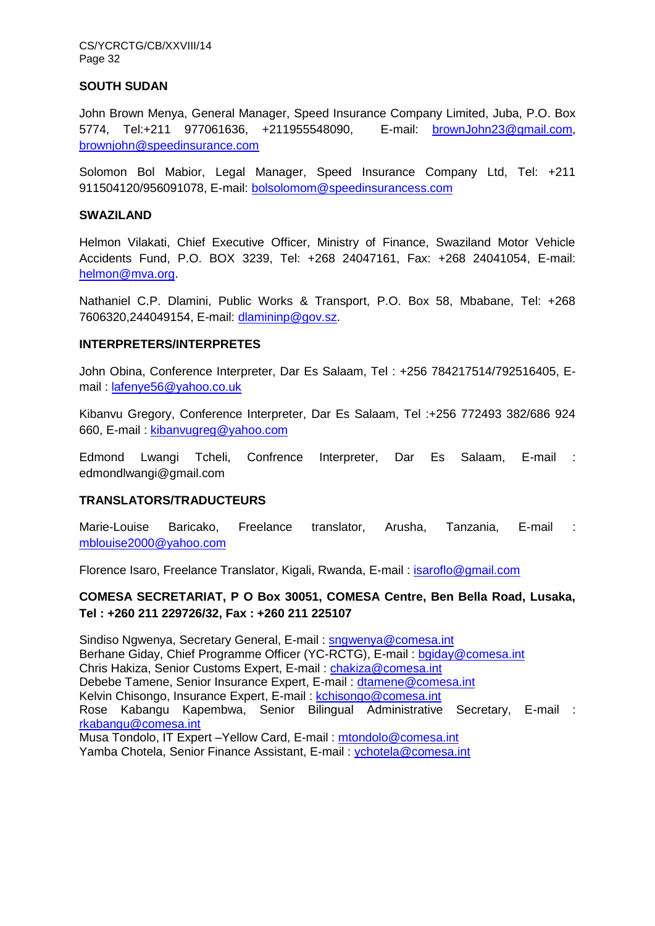CS/YCRCTG/CB/XXVIII/14 Page 32

#### **SOUTH SUDAN**

John Brown Menya, General Manager, Speed Insurance Company Limited, Juba, P.O. Box 5774, Tel:+211 977061636, +211955548090, E-mail: [brownJohn23@gmail.com,](mailto:brownJohn23@gmail.com) [brownjohn@speedinsurance.com](mailto:brownjohn@speedinsurance.com)

Solomon Bol Mabior, Legal Manager, Speed Insurance Company Ltd, Tel: +211 911504120/956091078, E-mail: [bolsolomom@speedinsurancess.com](mailto:bolsolomom@speedinsurancess.com)

#### **SWAZILAND**

Helmon Vilakati, Chief Executive Officer, Ministry of Finance, Swaziland Motor Vehicle Accidents Fund, P.O. BOX 3239, Tel: +268 24047161, Fax: +268 24041054, E-mail: [helmon@mva.org.](mailto:helmon@mva.org)

Nathaniel C.P. Dlamini, Public Works & Transport, P.O. Box 58, Mbabane, Tel: +268 7606320,244049154, E-mail: [dlamininp@gov.sz.](mailto:dlamininp@gov.sz)

## **INTERPRETERS/INTERPRETES**

John Obina, Conference Interpreter, Dar Es Salaam, Tel : +256 784217514/792516405, Email : [lafenye56@yahoo.co.uk](mailto:lafenye56@yahoo.co.uk)

Kibanvu Gregory, Conference Interpreter, Dar Es Salaam, Tel :+256 772493 382/686 924 660, E-mail : [kibanvugreg@yahoo.com](mailto:kibanvugreg@yahoo.com)

Edmond Lwangi Tcheli, Confrence Interpreter, Dar Es Salaam, E-mail : edmondlwangi@gmail.com

## **TRANSLATORS/TRADUCTEURS**

Marie-Louise Baricako, Freelance translator, Arusha, Tanzania, E-mail : [mblouise2000@yahoo.com](mailto:mblouise2000@yahoo.com)

Florence Isaro, Freelance Translator, Kigali, Rwanda, E-mail : [isaroflo@gmail.com](mailto:isaroflo@gmail.com)

## **COMESA SECRETARIAT, P O Box 30051, COMESA Centre, Ben Bella Road, Lusaka, Tel : +260 211 229726/32, Fax : +260 211 225107**

Sindiso Ngwenya, Secretary General, E-mail : [sngwenya@comesa.int](mailto:sngwenya@comesa.int) Berhane Giday, Chief Programme Officer (YC-RCTG), E-mail : [bgiday@comesa.int](mailto:bgiday@comesa.int) Chris Hakiza, Senior Customs Expert, E-mail : [chakiza@comesa.int](mailto:chakiza@comesa.int) Debebe Tamene, Senior Insurance Expert, E-mail : [dtamene@comesa.int](mailto:dtamene@comesa.int) Kelvin Chisongo, Insurance Expert, E-mail : [kchisongo@comesa.int](mailto:kchisongo@comesa.int) Rose Kabangu Kapembwa, Senior Bilingual Administrative Secretary, E-mail : [rkabangu@comesa.int](mailto:rkabangu@comesa.int) Musa Tondolo, IT Expert –Yellow Card, E-mail : [mtondolo@comesa.int](mailto:mtondolo@comesa.int) Yamba Chotela, Senior Finance Assistant, E-mail : [ychotela@comesa.int](mailto:ychotela@comesa.int)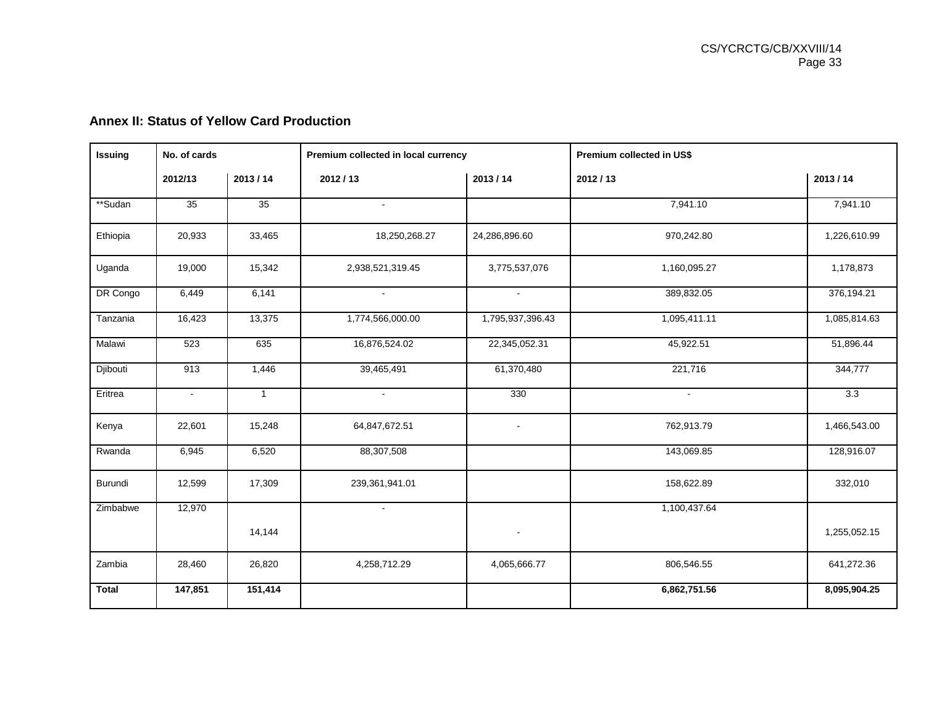|  |  |  |  |  |  | <b>Annex II: Status of Yellow Card Production</b> |
|--|--|--|--|--|--|---------------------------------------------------|
|--|--|--|--|--|--|---------------------------------------------------|

| <b>Issuing</b> | No. of cards   |              | Premium collected in local currency |                  | Premium collected in US\$ |              |  |  |
|----------------|----------------|--------------|-------------------------------------|------------------|---------------------------|--------------|--|--|
|                | 2012/13        | 2013/14      | 2012/13<br>2013/14                  |                  | 2012/13                   | 2013/14      |  |  |
| **Sudan        | 35             | 35           | $\sim$                              |                  | 7,941.10                  | 7,941.10     |  |  |
| Ethiopia       | 20,933         | 33,465       | 18,250,268.27                       | 24,286,896.60    | 970,242.80                | 1,226,610.99 |  |  |
| Uganda         | 19,000         | 15,342       | 2,938,521,319.45                    | 3,775,537,076    | 1,160,095.27              | 1,178,873    |  |  |
| DR Congo       | 6,449          | 6,141        | $\sim$                              | $\sim$           | 389,832.05                | 376,194.21   |  |  |
| Tanzania       | 16,423         | 13,375       | 1,774,566,000.00                    | 1,795,937,396.43 | 1,095,411.11              | 1,085,814.63 |  |  |
| Malawi         | 523            | 635          | 16,876,524.02                       | 22,345,052.31    | 45,922.51                 | 51,896.44    |  |  |
| Djibouti       | 913            | 1,446        | 39,465,491                          | 61,370,480       | 221,716                   | 344,777      |  |  |
| Eritrea        | $\blacksquare$ | $\mathbf{1}$ | $\sim$                              | 330              | $\sim$                    | 3.3          |  |  |
| Kenya          | 22,601         | 15,248       | 64,847,672.51                       | $\blacksquare$   | 762,913.79                | 1,466,543.00 |  |  |
| Rwanda         | 6,945          | 6,520        | 88,307,508                          |                  | 143,069.85                | 128,916.07   |  |  |
| Burundi        | 12,599         | 17,309       | 239,361,941.01                      |                  | 158,622.89                | 332,010      |  |  |
| Zimbabwe       | 12,970         |              | $\sim$                              |                  | 1,100,437.64              |              |  |  |
|                |                | 14,144       |                                     | $\blacksquare$   |                           | 1,255,052.15 |  |  |
| Zambia         | 28,460         | 26,820       | 4,258,712.29                        | 4,065,666.77     | 806,546.55                | 641,272.36   |  |  |
| <b>Total</b>   | 147,851        | 151,414      |                                     |                  | 6,862,751.56              | 8,095,904.25 |  |  |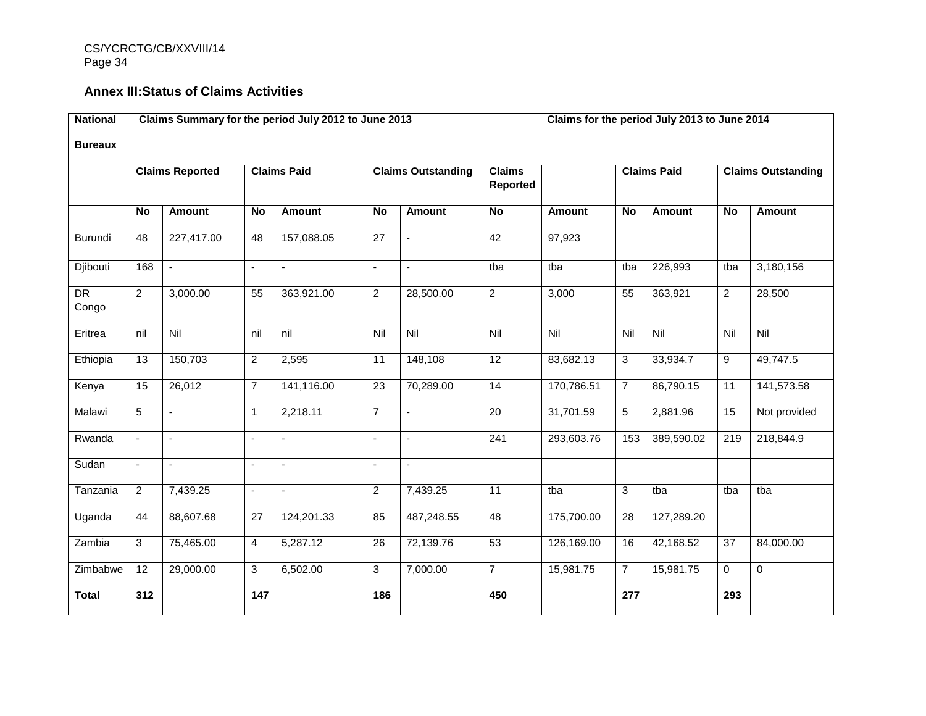CS/YCRCTG/CB/XXVIII/14 Page 34

# **Annex III:Status of Claims Activities**

| <b>National</b> | Claims Summary for the period July 2012 to June 2013 |               |                |                           |                 | Claims for the period July 2013 to June 2014 |                  |                    |                  |                           |                  |                |
|-----------------|------------------------------------------------------|---------------|----------------|---------------------------|-----------------|----------------------------------------------|------------------|--------------------|------------------|---------------------------|------------------|----------------|
| <b>Bureaux</b>  |                                                      |               |                |                           |                 |                                              |                  |                    |                  |                           |                  |                |
|                 | <b>Claims Reported</b><br><b>Claims Paid</b>         |               |                | <b>Claims Outstanding</b> |                 | <b>Claims</b><br>Reported                    |                  | <b>Claims Paid</b> |                  | <b>Claims Outstanding</b> |                  |                |
|                 | <b>No</b>                                            | <b>Amount</b> | <b>No</b>      | Amount                    | <b>No</b>       | <b>Amount</b>                                | <b>No</b>        | <b>Amount</b>      | <b>No</b>        | Amount                    | <b>No</b>        | Amount         |
| Burundi         | 48                                                   | 227,417.00    | 48             | 157,088.05                | 27              | $\blacksquare$                               | 42               | 97,923             |                  |                           |                  |                |
| Djibouti        | 168                                                  | $\omega$      | $\blacksquare$ | $\blacksquare$            | $\overline{a}$  | $\blacksquare$                               | tba              | tba                | tba              | 226,993                   | tba              | 3,180,156      |
| DR<br>Congo     | $\overline{2}$                                       | 3,000.00      | 55             | 363,921.00                | $\overline{2}$  | 28,500.00                                    | $\overline{2}$   | 3,000              | 55               | 363,921                   | $\overline{2}$   | 28,500         |
| Eritrea         | nil                                                  | Nil           | nil            | nil                       | Nil             | Nil                                          | Nil              | Nil                | Nil              | Nil                       | Nil              | $\overline{N}$ |
| Ethiopia        | 13                                                   | 150,703       | $\overline{2}$ | 2,595                     | 11              | 148,108                                      | 12               | 83,682.13          | 3                | 33,934.7                  | 9                | 49,747.5       |
| Kenya           | 15                                                   | 26,012        | $\overline{7}$ | 141,116.00                | $\overline{23}$ | 70,289.00                                    | 14               | 170,786.51         | $\overline{7}$   | 86,790.15                 | $\overline{11}$  | 141,573.58     |
| Malawi          | 5                                                    | $\mathbf{r}$  | $\mathbf{1}$   | 2,218.11                  | $\overline{7}$  | ÷,                                           | $\overline{20}$  | 31,701.59          | 5                | 2,881.96                  | 15               | Not provided   |
| Rwanda          | $\mathbf{r}$                                         | $\mathbf{r}$  | ÷.             | ÷.                        | $\mathbf{r}$    | $\mathbf{r}$                                 | $\overline{241}$ | 293,603.76         | 153              | 389,590.02                | $\overline{219}$ | 218,844.9      |
| Sudan           | $\blacksquare$                                       | $\mathbf{r}$  | $\mathbf{r}$   | $\blacksquare$            | $\blacksquare$  | $\mathbf{r}$                                 |                  |                    |                  |                           |                  |                |
| Tanzania        | $\overline{2}$                                       | 7,439.25      | $\omega$       | $\blacksquare$            | $\overline{2}$  | 7,439.25                                     | 11               | tba                | 3                | tba                       | tba              | tba            |
| Uganda          | 44                                                   | 88,607.68     | 27             | 124,201.33                | 85              | 487,248.55                                   | 48               | 175,700.00         | 28               | 127,289.20                |                  |                |
| Zambia          | 3                                                    | 75,465.00     | 4              | 5,287.12                  | 26              | 72,139.76                                    | 53               | 126,169.00         | 16               | 42,168.52                 | 37               | 84,000.00      |
| Zimbabwe        | 12                                                   | 29,000.00     | 3              | 6,502.00                  | 3               | 7,000.00                                     | $\overline{7}$   | 15,981.75          | $\overline{7}$   | 15,981.75                 | $\mathbf 0$      | $\pmb{0}$      |
| <b>Total</b>    | 312                                                  |               | 147            |                           | 186             |                                              | 450              |                    | $\overline{277}$ |                           | 293              |                |